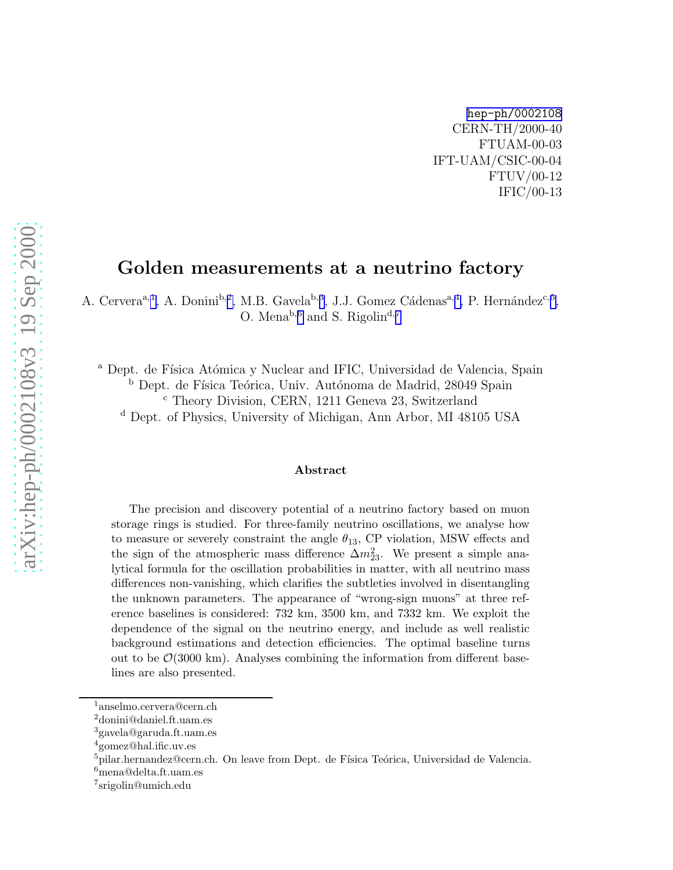[hep-ph/0002108](http://arXiv.org/abs/hep-ph/0002108) CERN-TH/2000-40 FTUAM-00-03 IFT-UAM/CSIC-00-04 FTUV/00-12 IFIC/00-13

## Golden measurements at a neutrino factory

A. Cervera<sup>a, 1</sup>, A. Donini<sup>b, 2</sup>, M.B. Gavela<sup>b, 3</sup>, J.J. Gomez Cádenas<sup>a, 4</sup>, P. Hernández<sup>c, 5</sup>, O. Mena<sup>b,6</sup> and S. Rigolin<sup>d,7</sup>

<sup>a</sup> Dept. de Física Atómica y Nuclear and IFIC, Universidad de Valencia, Spain <sup>b</sup> Dept. de Física Teórica, Univ. Autónoma de Madrid, 28049 Spain <sup>c</sup> Theory Division, CERN, 1211 Geneva 23, Switzerland

<sup>d</sup> Dept. of Physics, University of Michigan, Ann Arbor, MI 48105 USA

#### Abstract

The precision and discovery potential of a neutrino factory based on muon storage rings is studied. For three-family neutrino oscillations, we analyse how to measure or severely constraint the angle  $\theta_{13}$ , CP violation, MSW effects and the sign of the atmospheric mass difference  $\Delta m_{23}^2$ . We present a simple analytical formula for the oscillation probabilities in matter, with all neutrino mass differences non-vanishing, which clarifies the subtleties involved in disentangling the unknown parameters. The appearance of "wrong-sign muons" at three reference baselines is considered: 732 km, 3500 km, and 7332 km. We exploit the dependence of the signal on the neutrino energy, and include as well realistic background estimations and detection efficiencies. The optimal baseline turns out to be  $\mathcal{O}(3000 \text{ km})$ . Analyses combining the information from different baselines are also presented.

<sup>1</sup>anselmo.cervera@cern.ch<br>
<sup>2</sup>donini@daniel.ft.uam.es<br>
<sup>3</sup>gavela@garuda.ft.uam.es<br>
<sup>5</sup>pilar.hernandez@cern.ch. On leave from Dept. de Física Teórica, Universidad de Valencia.<br>
<sup>6</sup>mena@delta.ft.uam.es

srigolin@umich.edu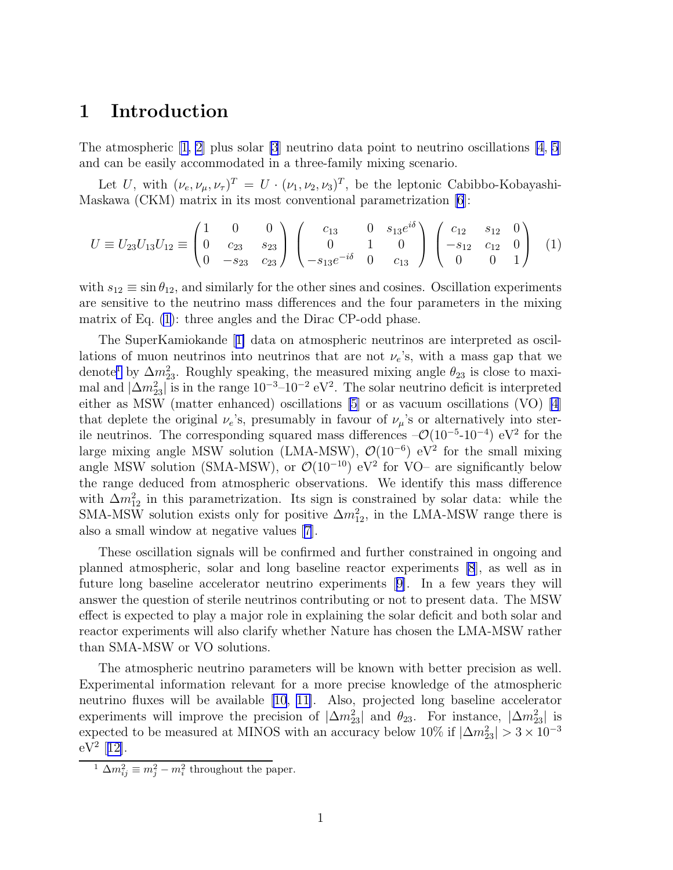### <span id="page-1-0"></span>1 Introduction

The atmospheric  $[1, 2]$  $[1, 2]$  $[1, 2]$  plus solar  $[3]$  neutrino data point to neutrino oscillations  $[4, 5]$  $[4, 5]$  $[4, 5]$ and can be easily accommodated in a three-family mixing scenario.

Let U, with  $(\nu_e, \nu_\mu, \nu_\tau)^T = U \cdot (\nu_1, \nu_2, \nu_3)^T$ , be the leptonic Cabibbo-Kobayashi-Maskawa (CKM) matrix in its most conventional parametrization [\[6](#page-43-0)]:

$$
U \equiv U_{23}U_{13}U_{12} \equiv \begin{pmatrix} 1 & 0 & 0 \\ 0 & c_{23} & s_{23} \\ 0 & -s_{23} & c_{23} \end{pmatrix} \begin{pmatrix} c_{13} & 0 & s_{13}e^{i\delta} \\ 0 & 1 & 0 \\ -s_{13}e^{-i\delta} & 0 & c_{13} \end{pmatrix} \begin{pmatrix} c_{12} & s_{12} & 0 \\ -s_{12} & c_{12} & 0 \\ 0 & 0 & 1 \end{pmatrix}
$$
 (1)

with  $s_{12} \equiv \sin \theta_{12}$ , and similarly for the other sines and cosines. Oscillation experiments are sensitive to the neutrino mass differences and the four parameters in the mixing matrix of Eq. (1): three angles and the Dirac CP-odd phase.

The SuperKamiokande[[1\]](#page-43-0) data on atmospheric neutrinos are interpreted as oscillations of muon neutrinos into neutrinos that are not  $\nu_e$ 's, with a mass gap that we denote<sup>1</sup> by  $\Delta m_{23}^2$ . Roughly speaking, the measured mixing angle  $\theta_{23}$  is close to maximal and  $|\Delta m_{23}^2|$  is in the range  $10^{-3}$ – $10^{-2}$  eV<sup>2</sup>. The solar neutrino deficit is interpreted either as MSW (matter enhanced) oscillations [\[5\]](#page-43-0) or as vacuum oscillations (VO) [\[4](#page-43-0)] that deplete the original  $\nu_e$ 's, presumably in favour of  $\nu_\mu$ 's or alternatively into sterile neutrinos. The corresponding squared mass differences  $-\mathcal{O}(10^{-5} \text{-} 10^{-4})$  eV<sup>2</sup> for the large mixing angle MSW solution (LMA-MSW),  $\mathcal{O}(10^{-6})$  eV<sup>2</sup> for the small mixing angle MSW solution (SMA-MSW), or  $\mathcal{O}(10^{-10})$  eV<sup>2</sup> for VO– are significantly below the range deduced from atmospheric observations. We identify this mass difference with  $\Delta m_{12}^2$  in this parametrization. Its sign is constrained by solar data: while the SMA-MSW solution exists only for positive  $\Delta m_{12}^2$ , in the LMA-MSW range there is also a small window at negative values [\[7](#page-43-0)].

These oscillation signals will be confirmed and further constrained in ongoing and planned atmospheric, solar and long baseline reactor experiments [\[8](#page-43-0)], as well as in future long baseline accelerator neutrino experiments[[9\]](#page-43-0). In a few years they will answer the question of sterile neutrinos contributing or not to present data. The MSW effect is expected to play a major role in explaining the solar deficit and both solar and reactor experiments will also clarify whether Nature has chosen the LMA-MSW rather than SMA-MSW or VO solutions.

The atmospheric neutrino parameters will be known with better precision as well. Experimental information relevant for a more precise knowledge of the atmospheric neutrino fluxes will be available [\[10](#page-44-0), [11\]](#page-44-0). Also, projected long baseline accelerator experiments will improve the precision of  $|\Delta m_{23}^2|$  and  $\theta_{23}$ . For instance,  $|\Delta m_{23}^2|$  is expected to be measured at MINOS with an accuracy below 10% if  $|\Delta m_{23}^2| > 3 \times 10^{-3}$  $eV^2$  [[12\]](#page-44-0).

<sup>&</sup>lt;sup>1</sup>  $\Delta m_{ij}^2 \equiv m_j^2 - m_i^2$  throughout the paper.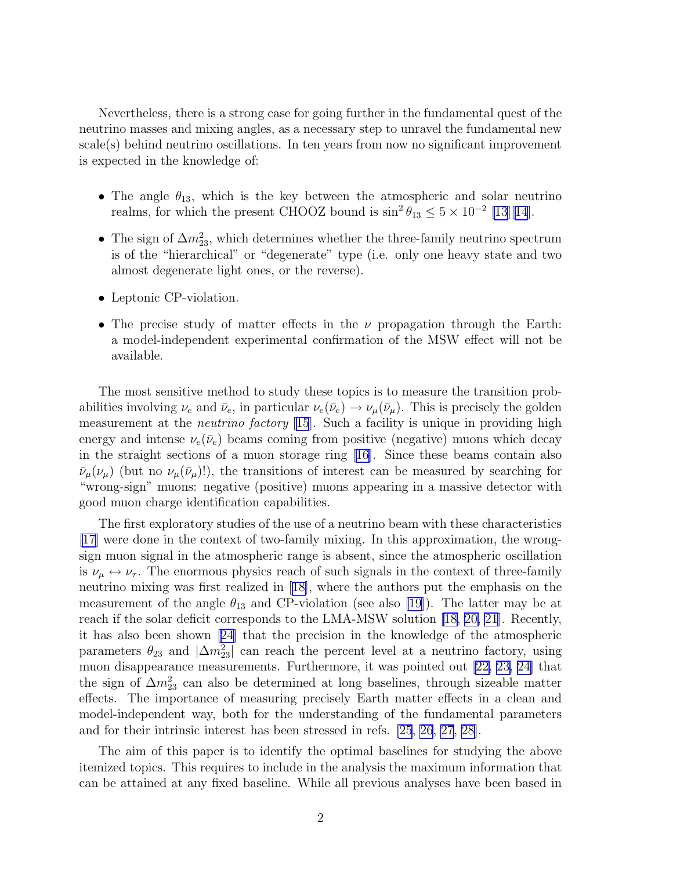Nevertheless, there is a strong case for going further in the fundamental quest of the neutrino masses and mixing angles, as a necessary step to unravel the fundamental new scale(s) behind neutrino oscillations. In ten years from now no significant improvement is expected in the knowledge of:

- The angle  $\theta_{13}$ , which is the key between the atmospheric and solar neutrino realms, for which the present CHOOZ bound is  $\sin^2 \theta_{13} \leq 5 \times 10^{-2}$  [\[13](#page-44-0)][[14](#page-44-0)].
- The sign of  $\Delta m_{23}^2$ , which determines whether the three-family neutrino spectrum is of the "hierarchical" or "degenerate" type (i.e. only one heavy state and two almost degenerate light ones, or the reverse).
- Leptonic CP-violation.
- The precise study of matter effects in the  $\nu$  propagation through the Earth: a model-independent experimental confirmation of the MSW effect will not be available.

The most sensitive method to study these topics is to measure the transition probabilities involving  $\nu_e$  and  $\bar{\nu}_e$ , in particular  $\nu_e(\bar{\nu}_e) \rightarrow \nu_\mu(\bar{\nu}_\mu)$ . This is precisely the golden measurement at the *neutrino factory* [[15](#page-44-0)]. Such a facility is unique in providing high energy and intense  $\nu_e(\bar{\nu}_e)$  beams coming from positive (negative) muons which decay in the straight sections of a muon storage ring [\[16\]](#page-44-0). Since these beams contain also  $\bar{\nu}_{\mu}(\nu_{\mu})$  (but no  $\nu_{\mu}(\bar{\nu}_{\mu})$ !), the transitions of interest can be measured by searching for "wrong-sign" muons: negative (positive) muons appearing in a massive detector with good muon charge identification capabilities.

The first exploratory studies of the use of a neutrino beam with these characteristics [\[17](#page-44-0)] were done in the context of two-family mixing. In this approximation, the wrongsign muon signal in the atmospheric range is absent, since the atmospheric oscillation is  $\nu_{\mu} \leftrightarrow \nu_{\tau}$ . The enormous physics reach of such signals in the context of three-family neutrino mixing was first realized in[[18\]](#page-44-0), where the authors put the emphasis on the measurement of the angle  $\theta_{13}$  and CP-violation (see also [\[19\]](#page-44-0)). The latter may be at reach if the solar deficit corresponds to the LMA-MSW solution [\[18, 20, 21](#page-44-0)]. Recently, it has also been shown[[24\]](#page-44-0) that the precision in the knowledge of the atmospheric parameters  $\theta_{23}$  and  $|\Delta m_{23}^2|$  can reach the percent level at a neutrino factory, using muon disappearance measurements. Furthermore, it was pointed out [\[22, 23, 24\]](#page-44-0) that the sign of  $\Delta m^2_{23}$  can also be determined at long baselines, through sizeable matter effects. The importance of measuring precisely Earth matter effects in a clean and model-independent way, both for the understanding of the fundamental parameters and for their intrinsic interest has been stressed in refs. [\[25](#page-44-0), [26](#page-44-0), [27, 28\]](#page-44-0).

The aim of this paper is to identify the optimal baselines for studying the above itemized topics. This requires to include in the analysis the maximum information that can be attained at any fixed baseline. While all previous analyses have been based in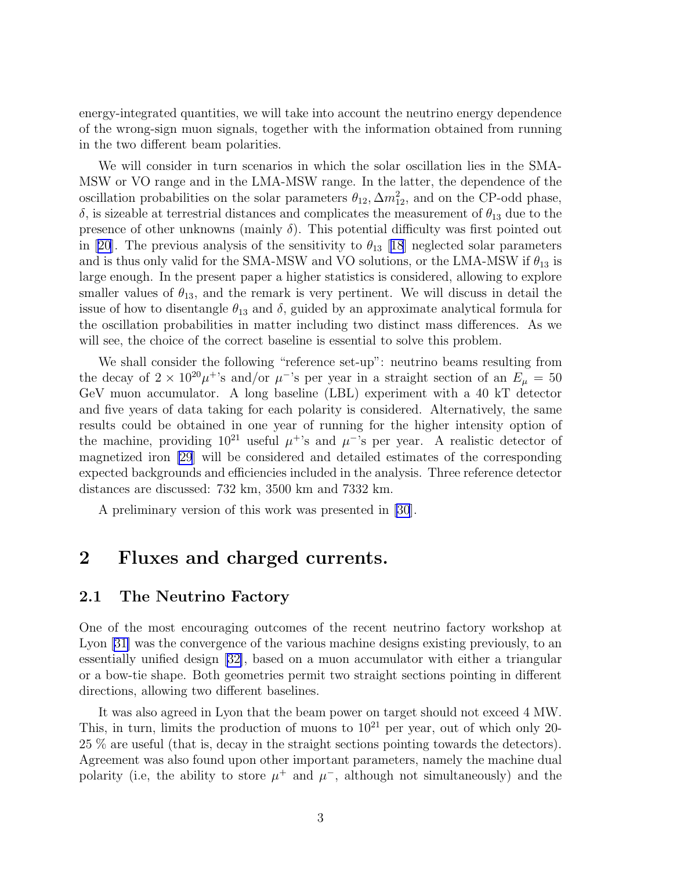energy-integrated quantities, we will take into account the neutrino energy dependence of the wrong-sign muon signals, together with the information obtained from running in the two different beam polarities.

We will consider in turn scenarios in which the solar oscillation lies in the SMA-MSW or VO range and in the LMA-MSW range. In the latter, the dependence of the oscillation probabilities on the solar parameters  $\theta_{12}$ ,  $\Delta m_{12}^2$ , and on the CP-odd phase,  $\delta$ , is sizeable at terrestrial distances and complicates the measurement of  $\theta_{13}$  due to the presence of other unknowns (mainly  $\delta$ ). This potential difficulty was first pointed out in [\[20\]](#page-44-0). The previous analysis of the sensitivity to  $\theta_{13}$  [[18](#page-44-0)] neglected solar parameters and is thus only valid for the SMA-MSW and VO solutions, or the LMA-MSW if  $\theta_{13}$  is large enough. In the present paper a higher statistics is considered, allowing to explore smaller values of  $\theta_{13}$ , and the remark is very pertinent. We will discuss in detail the issue of how to disentangle  $\theta_{13}$  and  $\delta$ , guided by an approximate analytical formula for the oscillation probabilities in matter including two distinct mass differences. As we will see, the choice of the correct baseline is essential to solve this problem.

We shall consider the following "reference set-up": neutrino beams resulting from the decay of  $2 \times 10^{20} \mu^+$ 's and/or  $\mu^-$ 's per year in a straight section of an  $E_\mu = 50$ GeV muon accumulator. A long baseline (LBL) experiment with a 40 kT detector and five years of data taking for each polarity is considered. Alternatively, the same results could be obtained in one year of running for the higher intensity option of the machine, providing  $10^{21}$  useful  $\mu^+$ 's and  $\mu^-$ 's per year. A realistic detector of magnetized iron [\[29](#page-45-0)] will be considered and detailed estimates of the corresponding expected backgrounds and efficiencies included in the analysis. Three reference detector distances are discussed: 732 km, 3500 km and 7332 km.

A preliminary version of this work was presented in [\[30](#page-45-0)].

# 2 Fluxes and charged currents.

### 2.1 The Neutrino Factory

One of the most encouraging outcomes of the recent neutrino factory workshop at Lyon [\[31\]](#page-45-0) was the convergence of the various machine designs existing previously, to an essentially unified design [\[32\]](#page-45-0), based on a muon accumulator with either a triangular or a bow-tie shape. Both geometries permit two straight sections pointing in different directions, allowing two different baselines.

It was also agreed in Lyon that the beam power on target should not exceed 4 MW. This, in turn, limits the production of muons to  $10^{21}$  per year, out of which only 20-25 % are useful (that is, decay in the straight sections pointing towards the detectors). Agreement was also found upon other important parameters, namely the machine dual polarity (i.e, the ability to store  $\mu^+$  and  $\mu^-$ , although not simultaneously) and the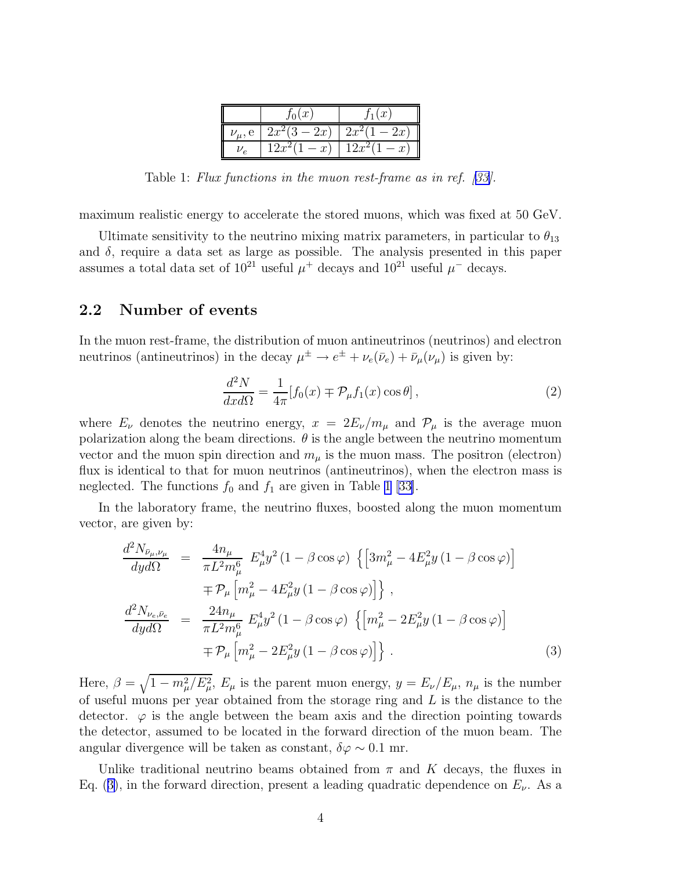|               | $f_0(x)$        | $\int_1(x)$      |
|---------------|-----------------|------------------|
| $\nu_\mu$ , e | $2x^2(3-2x)$    | $-2x$<br>$2x^2$  |
| Zρ            | $12x^2$<br>$-x$ | $12x^2$<br>$- x$ |

Table 1: *Flux functions in the muon rest-frame as in ref.[[33\]](#page-45-0).*

maximum realistic energy to accelerate the stored muons, which was fixed at 50 GeV.

Ultimate sensitivity to the neutrino mixing matrix parameters, in particular to  $\theta_{13}$ and  $\delta$ , require a data set as large as possible. The analysis presented in this paper assumes a total data set of  $10^{21}$  useful  $\mu^+$  decays and  $10^{21}$  useful  $\mu^-$  decays.

### 2.2 Number of events

In the muon rest-frame, the distribution of muon antineutrinos (neutrinos) and electron neutrinos (antineutrinos) in the decay  $\mu^{\pm} \to e^{\pm} + \nu_e(\bar{\nu}_e) + \bar{\nu}_\mu(\nu_\mu)$  is given by:

$$
\frac{d^2N}{dx d\Omega} = \frac{1}{4\pi} [f_0(x) \mp \mathcal{P}_{\mu} f_1(x) \cos \theta],
$$
\n(2)

where  $E_{\nu}$  denotes the neutrino energy,  $x = 2E_{\nu}/m_{\mu}$  and  $\mathcal{P}_{\mu}$  is the average muon polarization along the beam directions.  $\theta$  is the angle between the neutrino momentum vector and the muon spin direction and  $m_{\mu}$  is the muon mass. The positron (electron) flux is identical to that for muon neutrinos (antineutrinos), when the electron mass is neglected. The functions  $f_0$  and  $f_1$  are given in Table 1 [\[33\]](#page-45-0).

In the laboratory frame, the neutrino fluxes, boosted along the muon momentum vector, are given by:

$$
\frac{d^2 N_{\bar{\nu}_{\mu},\nu_{\mu}}}{dy d\Omega} = \frac{4n_{\mu}}{\pi L^2 m_{\mu}^6} E_{\mu}^4 y^2 (1 - \beta \cos \varphi) \left\{ \left[ 3m_{\mu}^2 - 4E_{\mu}^2 y (1 - \beta \cos \varphi) \right] \right. \n\left. + \mathcal{P}_{\mu} \left[ m_{\mu}^2 - 4E_{\mu}^2 y (1 - \beta \cos \varphi) \right] \right\}, \n\frac{d^2 N_{\nu_e,\bar{\nu}_e}}{dy d\Omega} = \frac{24n_{\mu}}{\pi L^2 m_{\mu}^6} E_{\mu}^4 y^2 (1 - \beta \cos \varphi) \left\{ \left[ m_{\mu}^2 - 2E_{\mu}^2 y (1 - \beta \cos \varphi) \right] \right. \n\left. + \mathcal{P}_{\mu} \left[ m_{\mu}^2 - 2E_{\mu}^2 y (1 - \beta \cos \varphi) \right] \right\}. \tag{3}
$$

Here,  $\beta = \sqrt{1 - m_{\mu}^2/E_{\mu}^2}$ ,  $E_{\mu}$  is the parent muon energy,  $y = E_{\nu}/E_{\mu}$ ,  $n_{\mu}$  is the number of useful muons per year obtained from the storage ring and L is the distance to the detector.  $\varphi$  is the angle between the beam axis and the direction pointing towards the detector, assumed to be located in the forward direction of the muon beam. The angular divergence will be taken as constant,  $\delta\varphi \sim 0.1$  mr.

Unlike traditional neutrino beams obtained from  $\pi$  and K decays, the fluxes in Eq. (3), in the forward direction, present a leading quadratic dependence on  $E_{\nu}$ . As a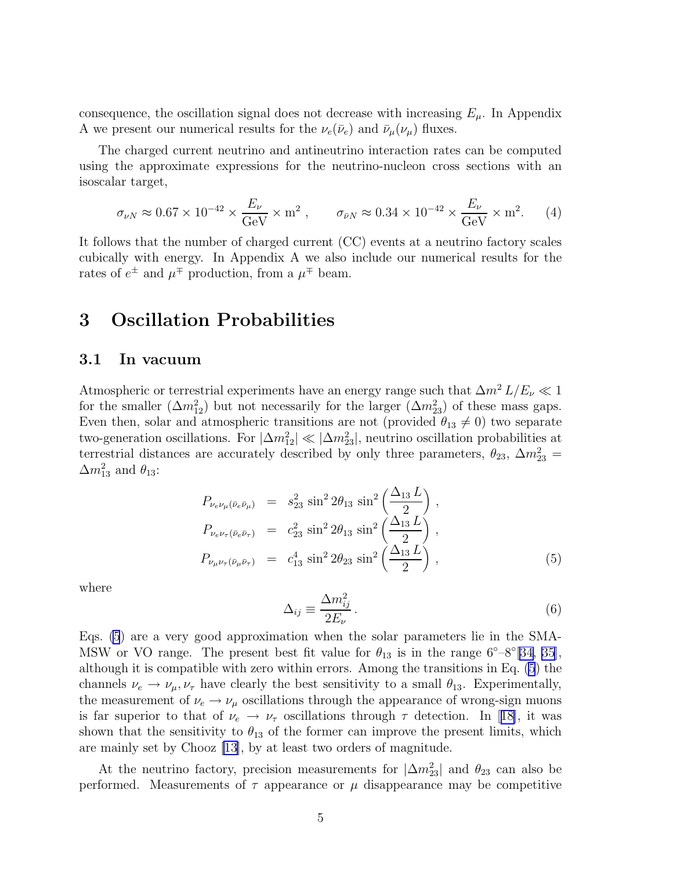<span id="page-5-0"></span>consequence, the oscillation signal does not decrease with increasing  $E_{\mu}$ . In Appendix A we present our numerical results for the  $\nu_e(\bar{\nu}_e)$  and  $\bar{\nu}_\mu(\nu_\mu)$  fluxes.

The charged current neutrino and antineutrino interaction rates can be computed using the approximate expressions for the neutrino-nucleon cross sections with an isoscalar target,

$$
\sigma_{\nu N} \approx 0.67 \times 10^{-42} \times \frac{E_{\nu}}{\text{GeV}} \times \text{m}^2 \,, \qquad \sigma_{\bar{\nu}N} \approx 0.34 \times 10^{-42} \times \frac{E_{\nu}}{\text{GeV}} \times \text{m}^2. \tag{4}
$$

It follows that the number of charged current (CC) events at a neutrino factory scales cubically with energy. In Appendix A we also include our numerical results for the rates of  $e^{\pm}$  and  $\mu^{\mp}$  production, from a  $\mu^{\mp}$  beam.

### 3 Oscillation Probabilities

### 3.1 In vacuum

Atmospheric or terrestrial experiments have an energy range such that  $\Delta m^2 L/E_\nu \ll 1$ for the smaller  $(\Delta m_{12}^2)$  but not necessarily for the larger  $(\Delta m_{23}^2)$  of these mass gaps. Even then, solar and atmospheric transitions are not (provided  $\theta_{13} \neq 0$ ) two separate two-generation oscillations. For  $|\Delta m_{12}^2| \ll |\Delta m_{23}^2|$ , neutrino oscillation probabilities at terrestrial distances are accurately described by only three parameters,  $\theta_{23}$ ,  $\Delta m^2_{23}$  =  $\Delta m_{13}^2$  and  $\theta_{13}$ :

$$
P_{\nu_e \nu_\mu (\bar{\nu}_e \bar{\nu}_\mu)} = s_{23}^2 \sin^2 2\theta_{13} \sin^2 \left(\frac{\Delta_{13} L}{2}\right),
$$
  
\n
$$
P_{\nu_e \nu_\tau (\bar{\nu}_e \bar{\nu}_\tau)} = c_{23}^2 \sin^2 2\theta_{13} \sin^2 \left(\frac{\Delta_{13} L}{2}\right),
$$
  
\n
$$
P_{\nu_\mu \nu_\tau (\bar{\nu}_\mu \bar{\nu}_\tau)} = c_{13}^4 \sin^2 2\theta_{23} \sin^2 \left(\frac{\Delta_{13} L}{2}\right),
$$
\n(5)

where

$$
\Delta_{ij} \equiv \frac{\Delta m_{ij}^2}{2E_\nu} \,. \tag{6}
$$

Eqs. (5) are a very good approximation when the solar parameters lie in the SMA-MSW or VO range. The present best fit value for  $\theta_{13}$  is in the range  $6^{\circ}$ - $8^{\circ}$ [\[34](#page-45-0), [35\]](#page-45-0), although it is compatible with zero within errors. Among the transitions in Eq. (5) the channels  $\nu_e \rightarrow \nu_\mu, \nu_\tau$  have clearly the best sensitivity to a small  $\theta_{13}$ . Experimentally, the measurement of  $\nu_e \rightarrow \nu_\mu$  oscillations through the appearance of wrong-sign muons isfar superior to that of  $\nu_e \rightarrow \nu_\tau$  oscillations through  $\tau$  detection. In [[18\]](#page-44-0), it was shown that the sensitivity to  $\theta_{13}$  of the former can improve the present limits, which are mainly set by Chooz [\[13\]](#page-44-0), by at least two orders of magnitude.

At the neutrino factory, precision measurements for  $|\Delta m^2_{23}|$  and  $\theta_{23}$  can also be performed. Measurements of  $\tau$  appearance or  $\mu$  disappearance may be competitive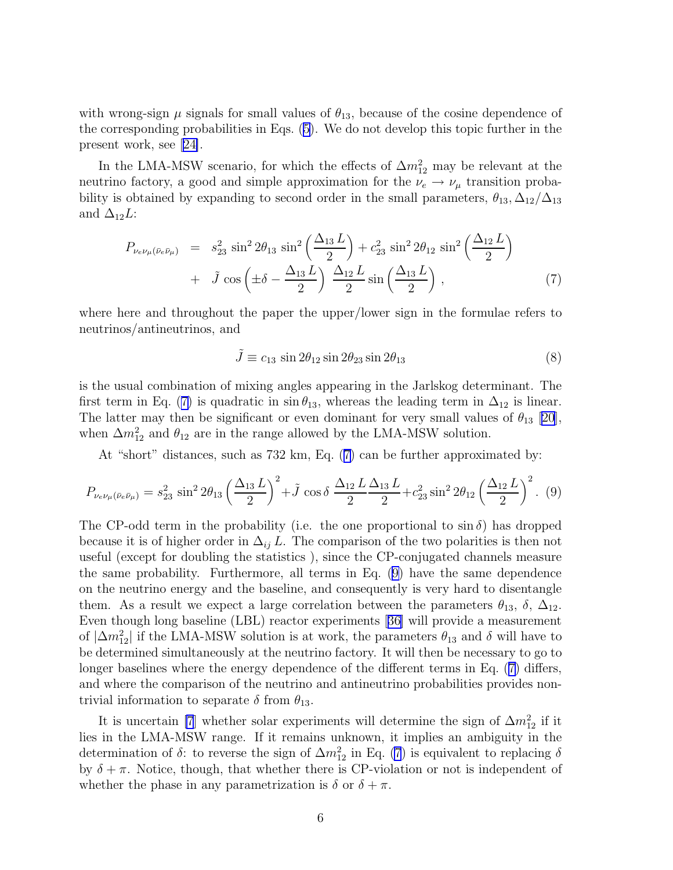<span id="page-6-0"></span>with wrong-sign  $\mu$  signals for small values of  $\theta_{13}$ , because of the cosine dependence of the corresponding probabilities in Eqs. [\(5\)](#page-5-0). We do not develop this topic further in the present work, see[[24\]](#page-44-0).

In the LMA-MSW scenario, for which the effects of  $\Delta m_{12}^2$  may be relevant at the neutrino factory, a good and simple approximation for the  $\nu_e \rightarrow \nu_\mu$  transition probability is obtained by expanding to second order in the small parameters,  $\theta_{13}, \Delta_{12}/\Delta_{13}$ and  $\Delta_{12}L$ :

$$
P_{\nu_e \nu_\mu (\bar{\nu}_e \bar{\nu}_\mu)} = s_{23}^2 \sin^2 2\theta_{13} \sin^2 \left(\frac{\Delta_{13} L}{2}\right) + c_{23}^2 \sin^2 2\theta_{12} \sin^2 \left(\frac{\Delta_{12} L}{2}\right) + \tilde{J} \cos \left(\pm \delta - \frac{\Delta_{13} L}{2}\right) \frac{\Delta_{12} L}{2} \sin \left(\frac{\Delta_{13} L}{2}\right), \tag{7}
$$

where here and throughout the paper the upper/lower sign in the formulae refers to neutrinos/antineutrinos, and

$$
\tilde{J} \equiv c_{13} \sin 2\theta_{12} \sin 2\theta_{23} \sin 2\theta_{13} \tag{8}
$$

is the usual combination of mixing angles appearing in the Jarlskog determinant. The first term in Eq. (7) is quadratic in  $\sin \theta_{13}$ , whereas the leading term in  $\Delta_{12}$  is linear. The latter may then be significant or even dominant for very small values of  $\theta_{13}$  [\[20\]](#page-44-0), when  $\Delta m_{12}^2$  and  $\theta_{12}$  are in the range allowed by the LMA-MSW solution.

At "short" distances, such as 732 km, Eq. (7) can be further approximated by:

$$
P_{\nu_e \nu_\mu (\bar{\nu}_e \bar{\nu}_\mu)} = s_{23}^2 \sin^2 2\theta_{13} \left(\frac{\Delta_{13} L}{2}\right)^2 + \tilde{J} \cos \delta \frac{\Delta_{12} L}{2} \frac{\Delta_{13} L}{2} + c_{23}^2 \sin^2 2\theta_{12} \left(\frac{\Delta_{12} L}{2}\right)^2.
$$
 (9)

The CP-odd term in the probability (i.e. the one proportional to  $\sin \delta$ ) has dropped because it is of higher order in  $\Delta_{ij} L$ . The comparison of the two polarities is then not useful (except for doubling the statistics ), since the CP-conjugated channels measure the same probability. Furthermore, all terms in Eq. (9) have the same dependence on the neutrino energy and the baseline, and consequently is very hard to disentangle them. As a result we expect a large correlation between the parameters  $\theta_{13}$ ,  $\delta$ ,  $\Delta_{12}$ . Even though long baseline (LBL) reactor experiments[[36\]](#page-45-0) will provide a measurement of  $|\Delta m_{12}^2|$  if the LMA-MSW solution is at work, the parameters  $\theta_{13}$  and  $\delta$  will have to be determined simultaneously at the neutrino factory. It will then be necessary to go to longer baselines where the energy dependence of the different terms in Eq. (7) differs, and where the comparison of the neutrino and antineutrino probabilities provides nontrivial information to separate  $\delta$  from  $\theta_{13}$ .

It is uncertain [\[7](#page-43-0)] whether solar experiments will determine the sign of  $\Delta m_{12}^2$  if it lies in the LMA-MSW range. If it remains unknown, it implies an ambiguity in the determination of  $\delta$ : to reverse the sign of  $\Delta m_{12}^2$  in Eq. (7) is equivalent to replacing  $\delta$ by  $\delta + \pi$ . Notice, though, that whether there is CP-violation or not is independent of whether the phase in any parametrization is  $\delta$  or  $\delta + \pi$ .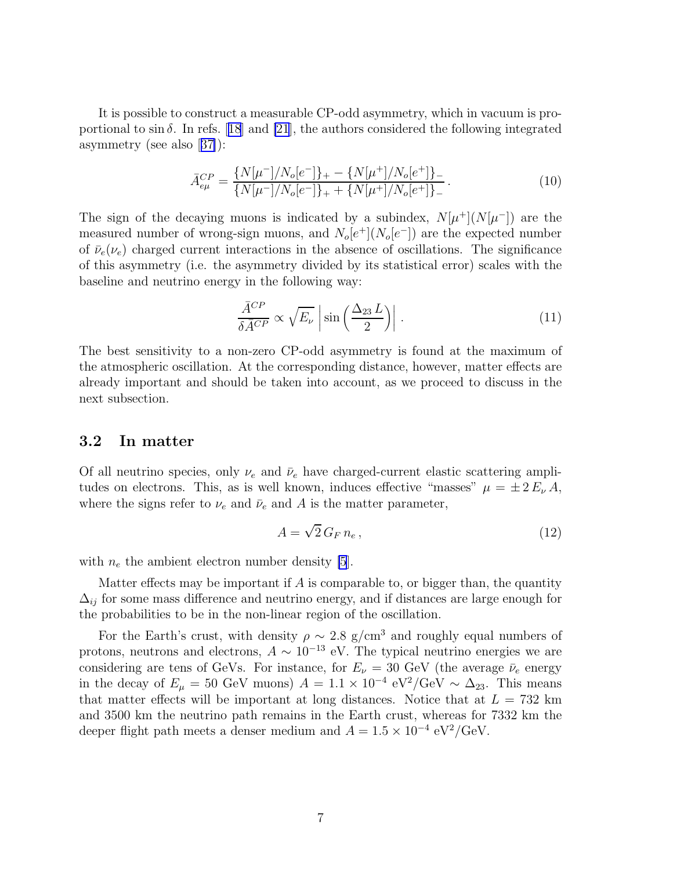<span id="page-7-0"></span>It is possible to construct a measurable CP-odd asymmetry, which in vacuum is proportionalto  $\sin \delta$ . In refs. [[18](#page-44-0)] and [\[21](#page-44-0)], the authors considered the following integrated asymmetry (see also[[37\]](#page-45-0)):

$$
\bar{A}_{e\mu}^{CP} = \frac{\{N[\mu^-]/N_o[e^-]\}_+ - \{N[\mu^+]/N_o[e^+]\}_-}{\{N[\mu^-]/N_o[e^-]\}_+ + \{N[\mu^+]/N_o[e^+]\}_-}.
$$
\n(10)

The sign of the decaying muons is indicated by a subindex,  $N[\mu^+](N[\mu^-])$  are the measured number of wrong-sign muons, and  $N_o[e^+](N_o[e^-])$  are the expected number of  $\bar{\nu}_e(\nu_e)$  charged current interactions in the absence of oscillations. The significance of this asymmetry (i.e. the asymmetry divided by its statistical error) scales with the baseline and neutrino energy in the following way:

$$
\frac{\bar{A}^{CP}}{\delta \bar{A}^{CP}} \propto \sqrt{E_{\nu}} \left| \sin \left( \frac{\Delta_{23} L}{2} \right) \right| \,. \tag{11}
$$

The best sensitivity to a non-zero CP-odd asymmetry is found at the maximum of the atmospheric oscillation. At the corresponding distance, however, matter effects are already important and should be taken into account, as we proceed to discuss in the next subsection.

### 3.2 In matter

Of all neutrino species, only  $\nu_e$  and  $\bar{\nu}_e$  have charged-current elastic scattering amplitudes on electrons. This, as is well known, induces effective "masses"  $\mu = \pm 2 E_{\nu} A$ , where the signs refer to  $\nu_e$  and  $\bar{\nu}_e$  and A is the matter parameter,

$$
A = \sqrt{2} \, G_F \, n_e \,, \tag{12}
$$

with  $n_e$  the ambient electron number density [\[5](#page-43-0)].

Matter effects may be important if  $A$  is comparable to, or bigger than, the quantity  $\Delta_{ij}$  for some mass difference and neutrino energy, and if distances are large enough for the probabilities to be in the non-linear region of the oscillation.

For the Earth's crust, with density  $\rho \sim 2.8$  g/cm<sup>3</sup> and roughly equal numbers of protons, neutrons and electrons,  $A \sim 10^{-13}$  eV. The typical neutrino energies we are considering are tens of GeVs. For instance, for  $E_{\nu} = 30$  GeV (the average  $\bar{\nu}_e$  energy in the decay of  $E_{\mu} = 50$  GeV muons)  $A = 1.1 \times 10^{-4} \text{ eV}^2/\text{GeV} \sim \Delta_{23}$ . This means that matter effects will be important at long distances. Notice that at  $L = 732 \text{ km}$ and 3500 km the neutrino path remains in the Earth crust, whereas for 7332 km the deeper flight path meets a denser medium and  $A = 1.5 \times 10^{-4} \text{ eV}^2/\text{GeV}$ .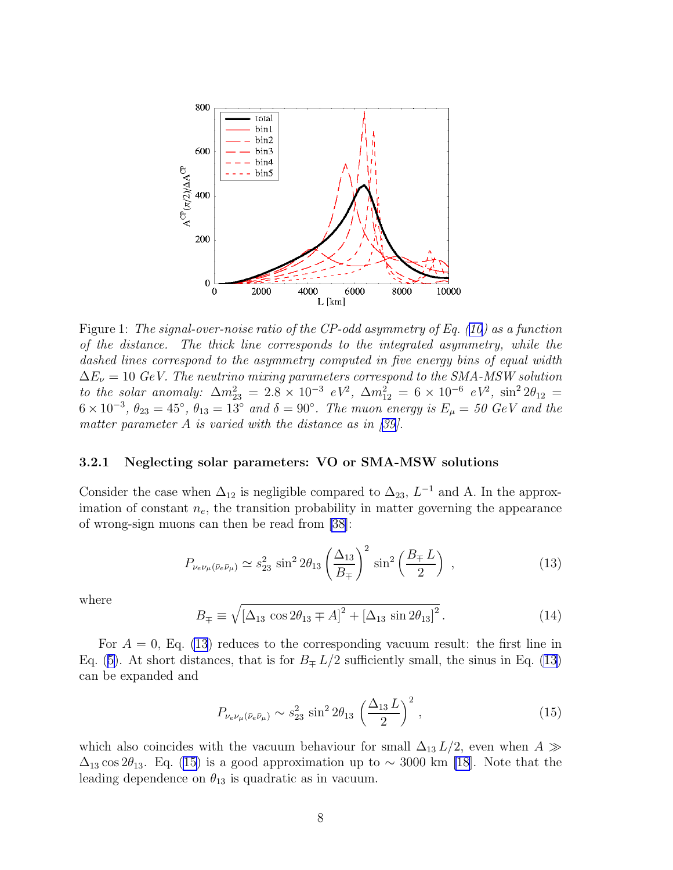<span id="page-8-0"></span>

Figure 1: *The signal-over-noise ratio of the CP-odd asymmetry of Eq. ([10\)](#page-7-0) as a function of the distance. The thick line corresponds to the integrated asymmetry, while the dashed lines correspond to the asymmetry computed in five energy bins of equal width*  $\Delta E_{\nu} = 10 \text{ GeV}$ . The neutrino mixing parameters correspond to the SMA-MSW solution *to the solar anomaly:*  $\Delta m_{23}^2 = 2.8 \times 10^{-3} eV^2$ ,  $\Delta m_{12}^2 = 6 \times 10^{-6} eV^2$ ,  $\sin^2 2\theta_{12} =$  $6 \times 10^{-3}$ ,  $\theta_{23} = 45^{\circ}$ ,  $\theta_{13} = 13^{\circ}$  and  $\delta = 90^{\circ}$ . The muon energy is  $E_{\mu} = 50$  GeV and the *matter parameter* A *is varied with the distance as in[[39\]](#page-45-0).*

#### 3.2.1 Neglecting solar parameters: VO or SMA-MSW solutions

Consider the case when  $\Delta_{12}$  is negligible compared to  $\Delta_{23}$ ,  $L^{-1}$  and A. In the approximation of constant  $n_e$ , the transition probability in matter governing the appearance of wrong-sign muons can then be read from [\[38](#page-45-0)]:

$$
P_{\nu_e \nu_\mu(\bar{\nu}_e \bar{\nu}_\mu)} \simeq s_{23}^2 \sin^2 2\theta_{13} \left(\frac{\Delta_{13}}{B_{\mp}}\right)^2 \sin^2 \left(\frac{B_{\mp} L}{2}\right) ,\qquad (13)
$$

where

$$
B_{\mp} \equiv \sqrt{\left[\Delta_{13} \cos 2\theta_{13} \mp A\right]^2 + \left[\Delta_{13} \sin 2\theta_{13}\right]^2}.
$$
 (14)

For  $A = 0$ , Eq. (13) reduces to the corresponding vacuum result: the first line in Eq. ([5\)](#page-5-0). At short distances, that is for  $B_{\pm} L/2$  sufficiently small, the sinus in Eq. (13) can be expanded and

$$
P_{\nu_e \nu_\mu(\bar{\nu}_e \bar{\nu}_\mu)} \sim s_{23}^2 \sin^2 2\theta_{13} \left(\frac{\Delta_{13} L}{2}\right)^2, \qquad (15)
$$

which also coincides with the vacuum behaviour for small  $\Delta_{13} L/2$ , even when  $A \gg$  $\Delta_{13}$  cos 2 $\theta_{13}$ . Eq. (15) is a good approximation up to ~ 3000 km [\[18](#page-44-0)]. Note that the leading dependence on  $\theta_{13}$  is quadratic as in vacuum.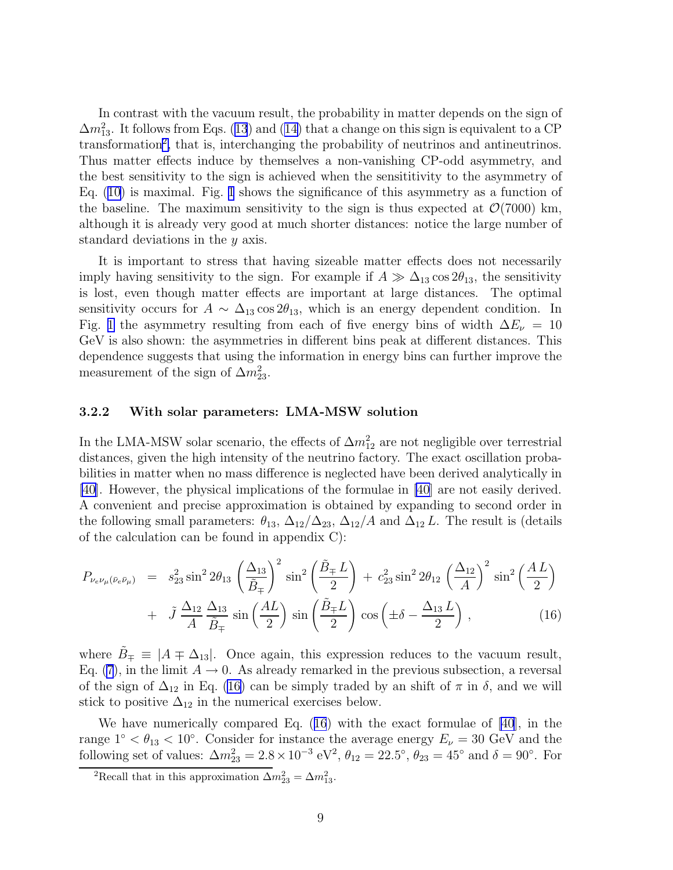<span id="page-9-0"></span>In contrast with the vacuum result, the probability in matter depends on the sign of  $\Delta m_{13}^2$  $\Delta m_{13}^2$  $\Delta m_{13}^2$ . It follows from Eqs. (13) and ([14\)](#page-8-0) that a change on this sign is equivalent to a CP transformation<sup>2</sup>, that is, interchanging the probability of neutrinos and antineutrinos. Thus matter effects induce by themselves a non-vanishing CP-odd asymmetry, and the best sensitivity to the sign is achieved when the sensititivity to the asymmetry of Eq. [\(10\)](#page-7-0) is maximal. Fig. [1](#page-8-0) shows the significance of this asymmetry as a function of the baseline. The maximum sensitivity to the sign is thus expected at  $\mathcal{O}(7000)$  km, although it is already very good at much shorter distances: notice the large number of standard deviations in the y axis.

It is important to stress that having sizeable matter effects does not necessarily imply having sensitivity to the sign. For example if  $A \gg \Delta_{13} \cos 2\theta_{13}$ , the sensitivity is lost, even though matter effects are important at large distances. The optimal sensitivity occurs for  $A \sim \Delta_{13} \cos 2\theta_{13}$ , which is an energy dependent condition. In Fig. [1](#page-8-0) the asymmetry resulting from each of five energy bins of width  $\Delta E_{\nu} = 10$ GeV is also shown: the asymmetries in different bins peak at different distances. This dependence suggests that using the information in energy bins can further improve the measurement of the sign of  $\Delta m_{23}^2$ .

### 3.2.2 With solar parameters: LMA-MSW solution

In the LMA-MSW solar scenario, the effects of  $\Delta m_{12}^2$  are not negligible over terrestrial distances, given the high intensity of the neutrino factory. The exact oscillation probabilities in matter when no mass difference is neglected have been derived analytically in [\[40](#page-45-0)]. However, the physical implications of the formulae in [\[40\]](#page-45-0) are not easily derived. A convenient and precise approximation is obtained by expanding to second order in the following small parameters:  $\theta_{13}$ ,  $\Delta_{12}/\Delta_{23}$ ,  $\Delta_{12}/A$  and  $\Delta_{12} L$ . The result is (details of the calculation can be found in appendix C):

$$
P_{\nu_e \nu_\mu (\bar{\nu}_e \bar{\nu}_\mu)} = s_{23}^2 \sin^2 2\theta_{13} \left(\frac{\Delta_{13}}{\tilde{B}_{\mp}}\right)^2 \sin^2 \left(\frac{\tilde{B}_{\mp} L}{2}\right) + c_{23}^2 \sin^2 2\theta_{12} \left(\frac{\Delta_{12}}{A}\right)^2 \sin^2 \left(\frac{AL}{2}\right) + \tilde{J} \frac{\Delta_{12}}{A} \frac{\Delta_{13}}{\tilde{B}_{\mp}} \sin \left(\frac{AL}{2}\right) \sin \left(\frac{\tilde{B}_{\mp} L}{2}\right) \cos \left(\pm \delta - \frac{\Delta_{13} L}{2}\right), \tag{16}
$$

where  $\tilde{B}_{\pm} \equiv |A \mp \Delta_{13}|$ . Once again, this expression reduces to the vacuum result, Eq. [\(7](#page-6-0)), in the limit  $A \to 0$ . As already remarked in the previous subsection, a reversal of the sign of  $\Delta_{12}$  in Eq. (16) can be simply traded by an shift of  $\pi$  in  $\delta$ , and we will stick to positive  $\Delta_{12}$  in the numerical exercises below.

We have numerically compared Eq. (16) with the exact formulae of [\[40](#page-45-0)], in the range  $1° < \theta_{13} < 10°$ . Consider for instance the average energy  $E_{\nu} = 30$  GeV and the following set of values:  $\Delta m_{23}^2 = 2.8 \times 10^{-3} \text{ eV}^2$ ,  $\theta_{12} = 22.5^\circ$ ,  $\theta_{23} = 45^\circ$  and  $\delta = 90^\circ$ . For

<sup>&</sup>lt;sup>2</sup>Recall that in this approximation  $\Delta m_{23}^2 = \Delta m_{13}^2$ .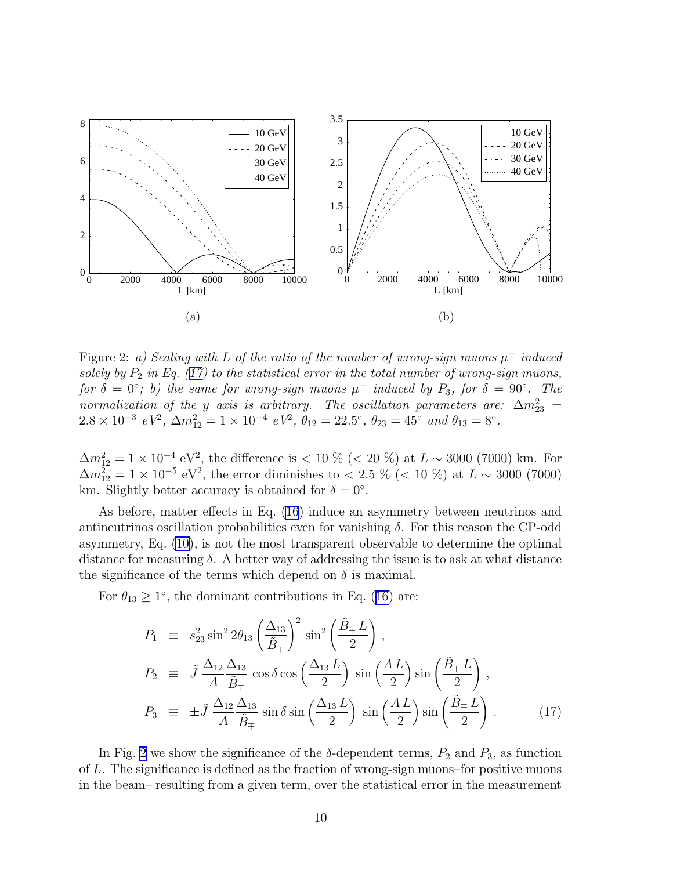<span id="page-10-0"></span>

Figure 2: *a*) Scaling with L of the ratio of the number of wrong-sign muons  $\mu$ <sup>−</sup> induced solely by  $P_2$  in Eq. (17) to the statistical error in the total number of wrong-sign muons, *for*  $\delta = 0$ °; *b*) the same for wrong-sign muons  $\mu^-$  induced by  $P_3$ , for  $\delta = 90$ °. The *normalization of the y axis is arbitrary. The oscillation parameters are:*  $\Delta m^2_{23}$  =  $2.8 \times 10^{-3}$   $eV^2$ ,  $\Delta m_{12}^2 = 1 \times 10^{-4}$   $eV^2$ ,  $\theta_{12} = 22.5^{\circ}$ ,  $\theta_{23} = 45^{\circ}$  and  $\theta_{13} = 8^{\circ}$ .

 $\Delta m_{12}^2 = 1 \times 10^{-4} \text{ eV}^2$ , the difference is < 10 % (< 20 %) at  $L \sim 3000$  (7000) km. For  $\Delta m_{12}^2 = 1 \times 10^{-5} \text{ eV}^2$ , the error diminishes to < 2.5 % (< 10 %) at  $L \sim 3000$  (7000) km. Slightly better accuracy is obtained for  $\delta = 0^{\circ}$ .

As before, matter effects in Eq. [\(16](#page-9-0)) induce an asymmetry between neutrinos and antineutrinos oscillation probabilities even for vanishing  $\delta$ . For this reason the CP-odd asymmetry, Eq. [\(10](#page-7-0)), is not the most transparent observable to determine the optimal distance for measuring  $\delta$ . A better way of addressing the issue is to ask at what distance the significance of the terms which depend on  $\delta$  is maximal.

For  $\theta_{13} \ge 1^{\circ}$ , the dominant contributions in Eq. ([16\)](#page-9-0) are:

$$
P_1 \equiv s_{23}^2 \sin^2 2\theta_{13} \left(\frac{\Delta_{13}}{\tilde{B}_{\mp}}\right)^2 \sin^2 \left(\frac{\tilde{B}_{\mp} L}{2}\right),
$$
  
\n
$$
P_2 \equiv \tilde{J} \frac{\Delta_{12} \Delta_{13}}{A} \frac{\Delta_{13}}{\tilde{B}_{\mp}} \cos \delta \cos \left(\frac{\Delta_{13} L}{2}\right) \sin \left(\frac{AL}{2}\right) \sin \left(\frac{\tilde{B}_{\mp} L}{2}\right),
$$
  
\n
$$
P_3 \equiv \pm \tilde{J} \frac{\Delta_{12} \Delta_{13}}{A} \frac{\Delta_{13}}{\tilde{B}_{\mp}} \sin \delta \sin \left(\frac{\Delta_{13} L}{2}\right) \sin \left(\frac{AL}{2}\right) \sin \left(\frac{\tilde{B}_{\mp} L}{2}\right).
$$
 (17)

In Fig. 2 we show the significance of the  $\delta$ -dependent terms,  $P_2$  and  $P_3$ , as function of L. The significance is defined as the fraction of wrong-sign muons–for positive muons in the beam– resulting from a given term, over the statistical error in the measurement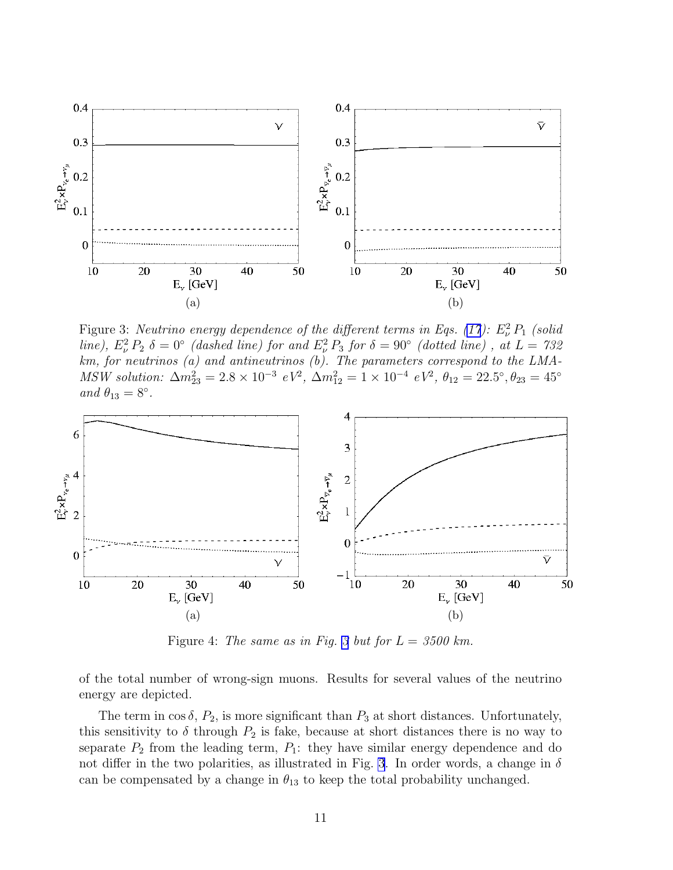<span id="page-11-0"></span>

Figure 3: *Neutrino energy dependence of the different terms in Eqs. [\(17](#page-10-0)):*  $E^2_{\nu} P_1$  (solid *line*),  $E^2_\nu P_2 \delta = 0$ ° *(dashed line) for and*  $E^2_\nu P_3$  *for*  $\delta = 90$ ° *(dotted line)*, *at*  $L = 732$ *km, for neutrinos (a) and antineutrinos (b). The parameters correspond to the LMA-MSW solution:*  $\Delta m_{23}^2 = 2.8 \times 10^{-3} eV^2$ ,  $\Delta m_{12}^2 = 1 \times 10^{-4} eV^2$ ,  $\theta_{12} = 22.5^\circ$ ,  $\theta_{23} = 45^\circ$  $and \ \theta_{13} = 8^\circ.$ 



Figure 4: *The same as in Fig. 3 but for*  $L = 3500 \text{ km}$ .

of the total number of wrong-sign muons. Results for several values of the neutrino energy are depicted.

The term in  $\cos \delta$ ,  $P_2$ , is more significant than  $P_3$  at short distances. Unfortunately, this sensitivity to  $\delta$  through  $P_2$  is fake, because at short distances there is no way to separate  $P_2$  from the leading term,  $P_1$ : they have similar energy dependence and do not differ in the two polarities, as illustrated in Fig. 3. In order words, a change in  $\delta$ can be compensated by a change in  $\theta_{13}$  to keep the total probability unchanged.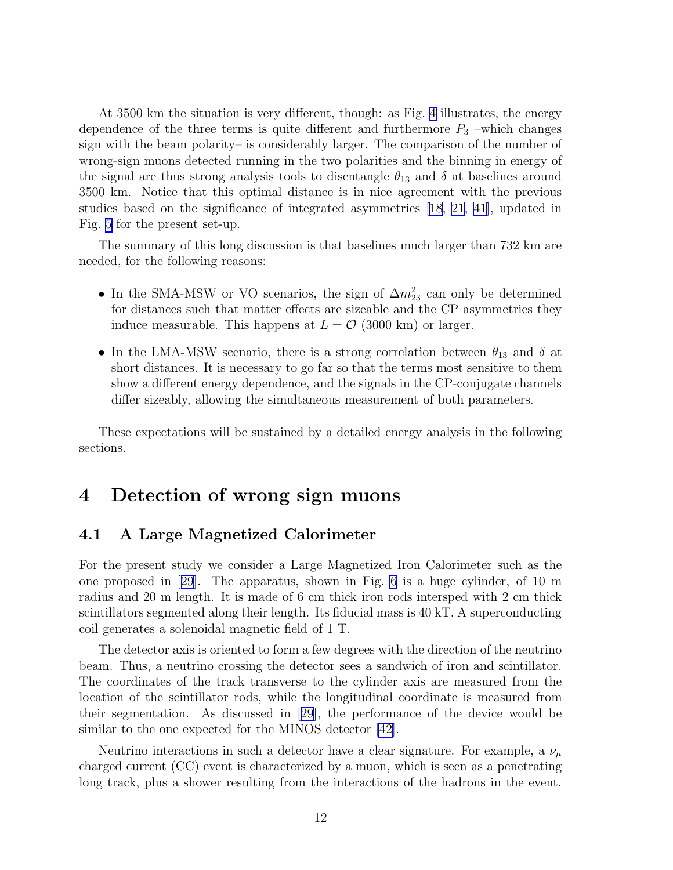At 3500 km the situation is very different, though: as Fig. [4](#page-11-0) illustrates, the energy dependence of the three terms is quite different and furthermore  $P_3$  –which changes sign with the beam polarity– is considerably larger. The comparison of the number of wrong-sign muons detected running in the two polarities and the binning in energy of the signal are thus strong analysis tools to disentangle  $\theta_{13}$  and  $\delta$  at baselines around 3500 km. Notice that this optimal distance is in nice agreement with the previous studies based on the significance of integrated asymmetries [[18, 21,](#page-44-0) [41\]](#page-45-0), updated in Fig. [5](#page-13-0) for the present set-up.

The summary of this long discussion is that baselines much larger than 732 km are needed, for the following reasons:

- In the SMA-MSW or VO scenarios, the sign of  $\Delta m_{23}^2$  can only be determined for distances such that matter effects are sizeable and the CP asymmetries they induce measurable. This happens at  $L = \mathcal{O}$  (3000 km) or larger.
- In the LMA-MSW scenario, there is a strong correlation between  $\theta_{13}$  and  $\delta$  at short distances. It is necessary to go far so that the terms most sensitive to them show a different energy dependence, and the signals in the CP-conjugate channels differ sizeably, allowing the simultaneous measurement of both parameters.

These expectations will be sustained by a detailed energy analysis in the following sections.

## 4 Detection of wrong sign muons

### 4.1 A Large Magnetized Calorimeter

For the present study we consider a Large Magnetized Iron Calorimeter such as the one proposed in[[29](#page-45-0)]. The apparatus, shown in Fig. [6](#page-13-0) is a huge cylinder, of 10 m radius and 20 m length. It is made of 6 cm thick iron rods intersped with 2 cm thick scintillators segmented along their length. Its fiducial mass is 40 kT. A superconducting coil generates a solenoidal magnetic field of 1 T.

The detector axis is oriented to form a few degrees with the direction of the neutrino beam. Thus, a neutrino crossing the detector sees a sandwich of iron and scintillator. The coordinates of the track transverse to the cylinder axis are measured from the location of the scintillator rods, while the longitudinal coordinate is measured from their segmentation. As discussed in[[29](#page-45-0)], the performance of the device would be similar to the one expected for the MINOS detector [\[42\]](#page-45-0).

Neutrino interactions in such a detector have a clear signature. For example, a  $\nu_{\mu}$ charged current (CC) event is characterized by a muon, which is seen as a penetrating long track, plus a shower resulting from the interactions of the hadrons in the event.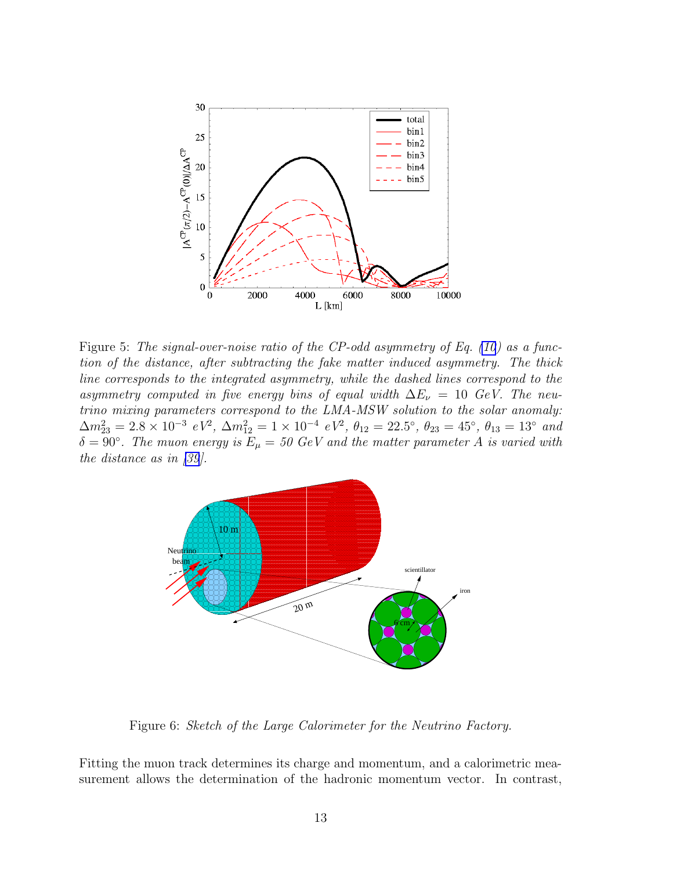<span id="page-13-0"></span>

Figure 5: *The signal-over-noise ratio of the CP-odd asymmetry of Eq. [\(10](#page-7-0)) as a function of the distance, after subtracting the fake matter induced asymmetry. The thick line corresponds to the integrated asymmetry, while the dashed lines correspond to the asymmetry computed in five energy bins of equal width*  $\Delta E_{\nu} = 10$  *GeV. The neutrino mixing parameters correspond to the LMA-MSW solution to the solar anomaly:*  $\Delta m_{23}^2 = 2.8 \times 10^{-3} eV^2$ ,  $\Delta m_{12}^2 = 1 \times 10^{-4} eV^2$ ,  $\theta_{12} = 22.5^\circ$ ,  $\theta_{23} = 45^\circ$ ,  $\theta_{13} = 13^\circ$  and  $\delta = 90^{\circ}$ . The muon energy is  $E_{\mu} = 50$  GeV and the matter parameter A is varied with *the distance as in [\[39](#page-45-0)].*



Figure 6: *Sketch of the Large Calorimeter for the Neutrino Factory.*

Fitting the muon track determines its charge and momentum, and a calorimetric measurement allows the determination of the hadronic momentum vector. In contrast,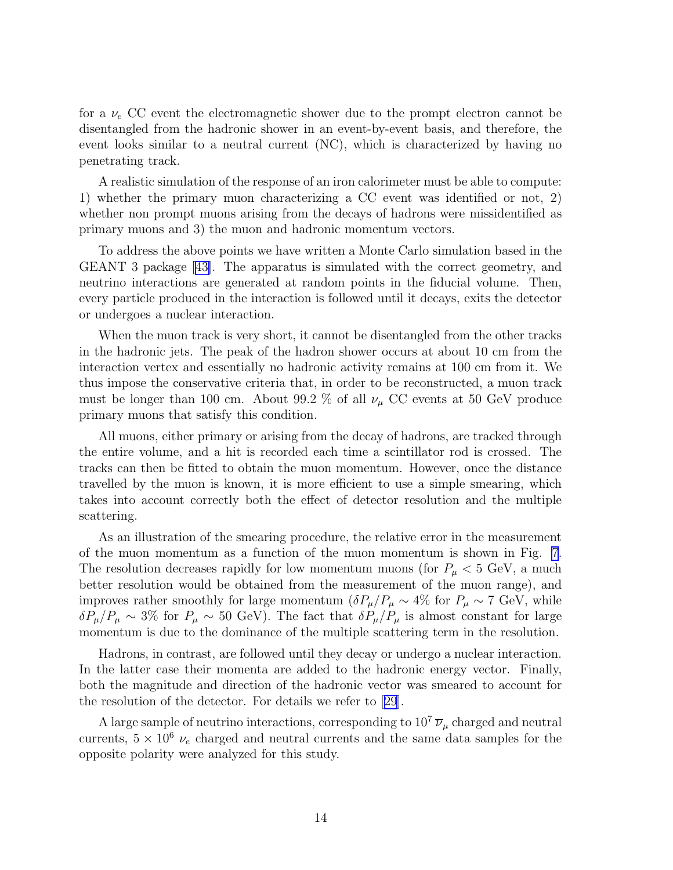for a  $\nu_e$  CC event the electromagnetic shower due to the prompt electron cannot be disentangled from the hadronic shower in an event-by-event basis, and therefore, the event looks similar to a neutral current (NC), which is characterized by having no penetrating track.

A realistic simulation of the response of an iron calorimeter must be able to compute: 1) whether the primary muon characterizing a CC event was identified or not, 2) whether non prompt muons arising from the decays of hadrons were missidentified as primary muons and 3) the muon and hadronic momentum vectors.

To address the above points we have written a Monte Carlo simulation based in the GEANT 3 package[[43\]](#page-45-0). The apparatus is simulated with the correct geometry, and neutrino interactions are generated at random points in the fiducial volume. Then, every particle produced in the interaction is followed until it decays, exits the detector or undergoes a nuclear interaction.

When the muon track is very short, it cannot be disentangled from the other tracks in the hadronic jets. The peak of the hadron shower occurs at about 10 cm from the interaction vertex and essentially no hadronic activity remains at 100 cm from it. We thus impose the conservative criteria that, in order to be reconstructed, a muon track must be longer than 100 cm. About 99.2 % of all  $\nu_{\mu}$  CC events at 50 GeV produce primary muons that satisfy this condition.

All muons, either primary or arising from the decay of hadrons, are tracked through the entire volume, and a hit is recorded each time a scintillator rod is crossed. The tracks can then be fitted to obtain the muon momentum. However, once the distance travelled by the muon is known, it is more efficient to use a simple smearing, which takes into account correctly both the effect of detector resolution and the multiple scattering.

As an illustration of the smearing procedure, the relative error in the measurement of the muon momentum as a function of the muon momentum is shown in Fig. [7](#page-15-0). The resolution decreases rapidly for low momentum muons (for  $P_\mu < 5$  GeV, a much better resolution would be obtained from the measurement of the muon range), and improves rather smoothly for large momentum  $(\delta P_\mu/P_\mu \sim 4\%$  for  $P_\mu \sim 7 \text{ GeV}$ , while  $\delta P_\mu/P_\mu \sim 3\%$  for  $P_\mu \sim 50$  GeV). The fact that  $\delta P_\mu/P_\mu$  is almost constant for large momentum is due to the dominance of the multiple scattering term in the resolution.

Hadrons, in contrast, are followed until they decay or undergo a nuclear interaction. In the latter case their momenta are added to the hadronic energy vector. Finally, both the magnitude and direction of the hadronic vector was smeared to account for the resolution of the detector. For details we refer to[[29](#page-45-0)].

A large sample of neutrino interactions, corresponding to  $10^7 \bar{\nu}_{\mu}$  charged and neutral currents,  $5 \times 10^6 \nu_e$  charged and neutral currents and the same data samples for the opposite polarity were analyzed for this study.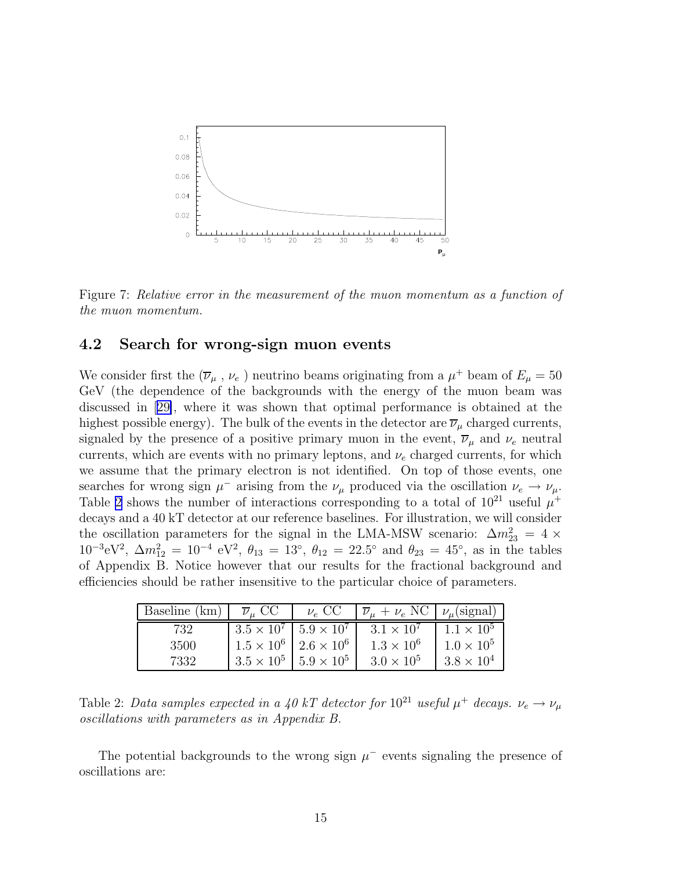<span id="page-15-0"></span>

Figure 7: *Relative error in the measurement of the muon momentum as a function of the muon momentum.*

### 4.2 Search for wrong-sign muon events

We consider first the  $(\overline{\nu}_{\mu}, \nu_{e})$  neutrino beams originating from a  $\mu^{+}$  beam of  $E_{\mu} = 50$ GeV (the dependence of the backgrounds with the energy of the muon beam was discussed in[[29\]](#page-45-0), where it was shown that optimal performance is obtained at the highest possible energy). The bulk of the events in the detector are  $\overline{\nu}_{\mu}$  charged currents, signaled by the presence of a positive primary muon in the event,  $\overline{\nu}_{\mu}$  and  $\nu_e$  neutral currents, which are events with no primary leptons, and  $\nu_e$  charged currents, for which we assume that the primary electron is not identified. On top of those events, one searches for wrong sign  $\mu^-$  arising from the  $\nu_\mu$  produced via the oscillation  $\nu_e \to \nu_\mu$ . Table 2 shows the number of interactions corresponding to a total of  $10^{21}$  useful  $\mu^+$ decays and a 40 kT detector at our reference baselines. For illustration, we will consider the oscillation parameters for the signal in the LMA-MSW scenario:  $\Delta m_{23}^2 = 4 \times 10^{-3}$  $10^{-3} \text{eV}^2$ ,  $\Delta m_{12}^2 = 10^{-4} \text{ eV}^2$ ,  $\theta_{13} = 13^{\circ}$ ,  $\theta_{12} = 22.5^{\circ}$  and  $\theta_{23} = 45^{\circ}$ , as in the tables of Appendix B. Notice however that our results for the fractional background and efficiencies should be rather insensitive to the particular choice of parameters.

| Baseline (km) | $\overline{\nu}_\mu$ CC               | $\nu_e$ CC | $\overline{\nu}_{\mu} + \nu_e \text{ NC} \mid \nu_{\mu} \text{(signal)}$ |                     |
|---------------|---------------------------------------|------------|--------------------------------------------------------------------------|---------------------|
| 732           | $3.5 \times 10^7$   $5.9 \times 10^7$ |            | $3.1 \times 10^{7}$                                                      | $1.1 \times 10^{5}$ |
| 3500          | $1.5 \times 10^6$   $2.6 \times 10^6$ |            | $1.3 \times 10^{6}$                                                      | $1.0 \times 10^{5}$ |
| 7332          | $3.5 \times 10^5$   $5.9 \times 10^5$ |            | $3.0 \times 10^5$                                                        | $3.8 \times 10^4$   |

Table 2: *Data samples expected in a 40 kT detector for*  $10^{21}$  *useful*  $\mu^+$  *decays.*  $\nu_e \rightarrow \nu_\mu$ *oscillations with parameters as in Appendix B.*

The potential backgrounds to the wrong sign  $\mu^-$  events signaling the presence of oscillations are: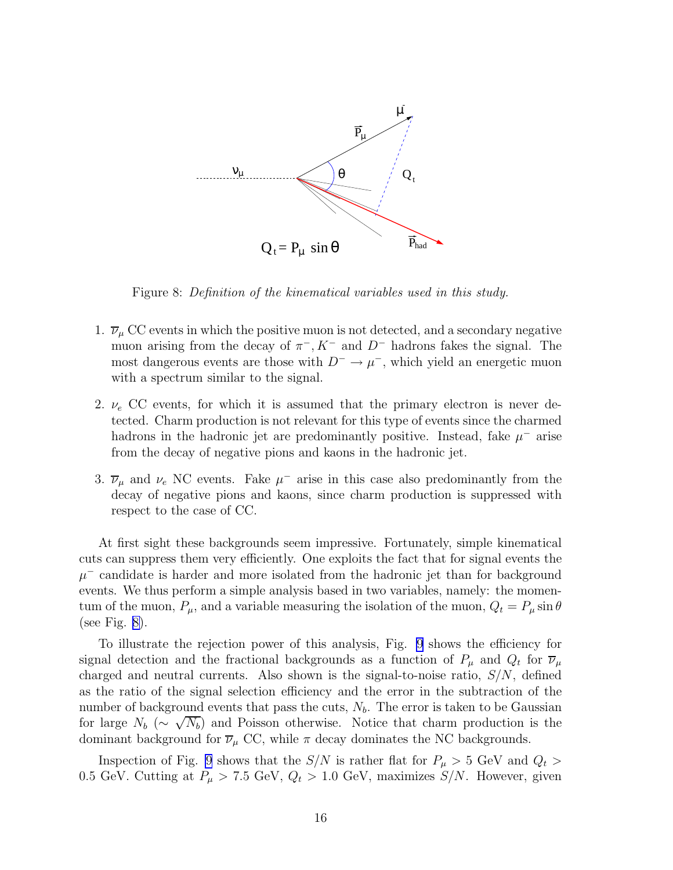

Figure 8: *Definition of the kinematical variables used in this study.*

- 1.  $\overline{\nu}_{\mu}$  CC events in which the positive muon is not detected, and a secondary negative muon arising from the decay of  $\pi^-$ ,  $K^-$  and  $D^-$  hadrons fakes the signal. The most dangerous events are those with  $D^- \to \mu^-$ , which yield an energetic muon with a spectrum similar to the signal.
- 2.  $\nu_e$  CC events, for which it is assumed that the primary electron is never detected. Charm production is not relevant for this type of events since the charmed hadrons in the hadronic jet are predominantly positive. Instead, fake  $\mu^-$  arise from the decay of negative pions and kaons in the hadronic jet.
- 3.  $\overline{\nu}_{\mu}$  and  $\nu_e$  NC events. Fake  $\mu^-$  arise in this case also predominantly from the decay of negative pions and kaons, since charm production is suppressed with respect to the case of CC.

At first sight these backgrounds seem impressive. Fortunately, simple kinematical cuts can suppress them very efficiently. One exploits the fact that for signal events the  $\mu$ <sup>-</sup> candidate is harder and more isolated from the hadronic jet than for background events. We thus perform a simple analysis based in two variables, namely: the momentum of the muon,  $P_{\mu}$ , and a variable measuring the isolation of the muon,  $Q_t = P_{\mu} \sin \theta$ (see Fig. 8).

To illustrate the rejection power of this analysis, Fig. [9](#page-17-0) shows the efficiency for signal detection and the fractional backgrounds as a function of  $P_\mu$  and  $Q_t$  for  $\overline{\nu}_\mu$ charged and neutral currents. Also shown is the signal-to-noise ratio,  $S/N$ , defined as the ratio of the signal selection efficiency and the error in the subtraction of the number of background events that pass the cuts,  $N_b$ . The error is taken to be Gaussian for large  $N_b$  ( $\sim \sqrt{N_b}$ ) and Poisson otherwise. Notice that charm production is the dominant background for  $\overline{\nu}_{\mu}$  CC, while  $\pi$  decay dominates the NC backgrounds.

Inspection of Fig. [9](#page-17-0) shows that the  $S/N$  is rather flat for  $P_{\mu} > 5$  GeV and  $Q_t >$ 0.5 GeV. Cutting at  $P_{\mu} > 7.5$  GeV,  $Q_t > 1.0$  GeV, maximizes  $S/N$ . However, given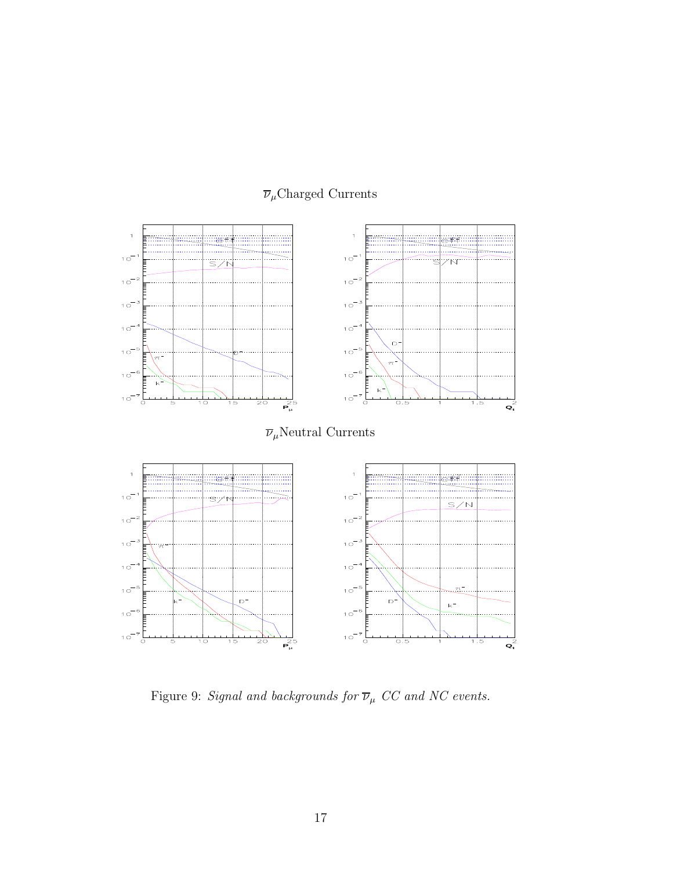<span id="page-17-0"></span>

## $\overline{\nu}_\mu\mathrm{Charged}$  Currents

Figure 9: *Signal and backgrounds for*  $\overline{\nu}_{\mu}$   $CC$   $and$   $NC$   $events.$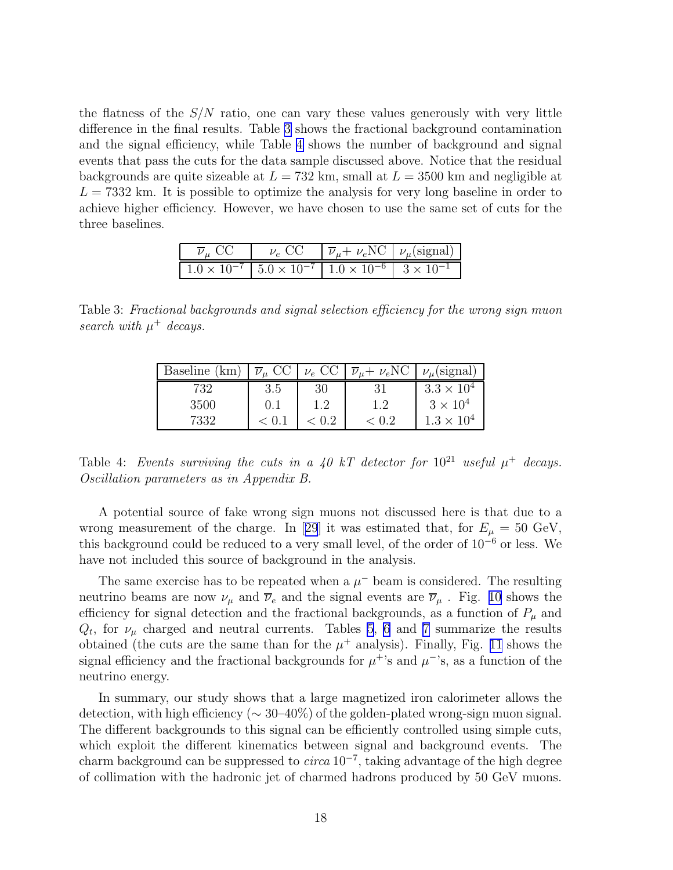the flatness of the  $S/N$  ratio, one can vary these values generously with very little difference in the final results. Table 3 shows the fractional background contamination and the signal efficiency, while Table 4 shows the number of background and signal events that pass the cuts for the data sample discussed above. Notice that the residual backgrounds are quite sizeable at  $L = 732$  km, small at  $L = 3500$  km and negligible at  $L = 7332$  km. It is possible to optimize the analysis for very long baseline in order to achieve higher efficiency. However, we have chosen to use the same set of cuts for the three baselines.

| $\overline{\nu}_\mu$ CC                                                                   | $\nu_e \text{ CC }  \overline{\nu}_{\mu} + \nu_e \text{NC }  \nu_{\mu}(\text{signal}) $ |  |
|-------------------------------------------------------------------------------------------|-----------------------------------------------------------------------------------------|--|
| $1.0 \times 10^{-7}$   $5.0 \times 10^{-7}$   $1.0 \times 10^{-6}$   $3 \times 10^{-1}$ ] |                                                                                         |  |

Table 3: *Fractional backgrounds and signal selection efficiency for the wrong sign muon* search with  $\mu^+$  decays.

| Baseline (km) | $\overline{\nu}_{\mu}$ CC | $\nu_e$ CC | $\overline{\nu}_{\mu} + \nu_e \text{NC}$ | $\nu_{\mu}$ (signal) |
|---------------|---------------------------|------------|------------------------------------------|----------------------|
| 732           | 3.5                       | 30         |                                          | $3.3 \times 10^4$    |
| 3500          | (0.1)                     | $1.2\,$    | 1.2                                      | $3 \times 10^4$      |
| 7332          | < 0.1                     | $\pm 0.2$  | < 0.2                                    | $1.3 \times 10^{4}$  |

Table 4: *Events surviving the cuts in a 40 kT detector for*  $10^{21}$  *useful*  $\mu^+$  *decays. Oscillation parameters as in Appendix B.*

A potential source of fake wrong sign muons not discussed here is that due to a wrongmeasurement of the charge. In [[29](#page-45-0)] it was estimated that, for  $E_{\mu} = 50 \text{ GeV}$ , this background could be reduced to a very small level, of the order of  $10^{-6}$  or less. We have not included this source of background in the analysis.

The same exercise has to be repeated when a  $\mu^-$  beam is considered. The resulting neutrino beams are now  $\nu_{\mu}$  and  $\overline{\nu}_{e}$  and the signal events are  $\overline{\nu}_{\mu}$ . Fig. [10](#page-19-0) shows the efficiency for signal detection and the fractional backgrounds, as a function of  $P_\mu$  and  $Q_t$ , for  $\nu_\mu$  charged and neutral currents. Tables [5](#page-19-0), [6](#page-20-0) and [7](#page-20-0) summarize the results obtained (the cuts are the same than for the  $\mu^+$  analysis). Finally, Fig. [11](#page-21-0) shows the signal efficiency and the fractional backgrounds for  $\mu^+$ 's and  $\mu^-$ 's, as a function of the neutrino energy.

In summary, our study shows that a large magnetized iron calorimeter allows the detection, with high efficiency ( $\sim 30{\text -}40\%$ ) of the golden-plated wrong-sign muon signal. The different backgrounds to this signal can be efficiently controlled using simple cuts, which exploit the different kinematics between signal and background events. The charm background can be suppressed to *circa* 10<sup>−</sup><sup>7</sup> , taking advantage of the high degree of collimation with the hadronic jet of charmed hadrons produced by 50 GeV muons.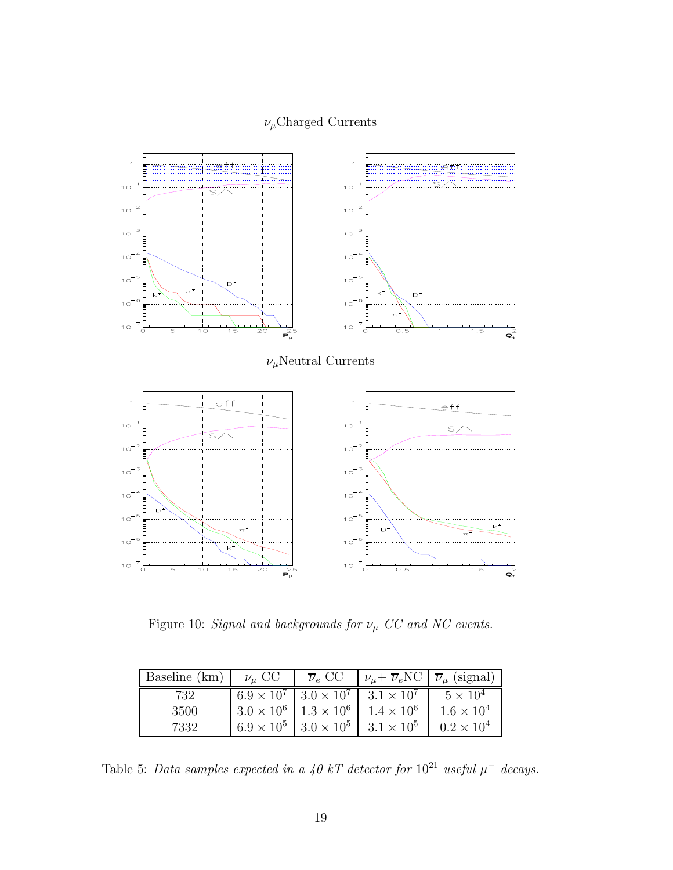### $\nu_\mu\mathrm{Charged}$  Currents

<span id="page-19-0"></span>

Figure 10: *Signal and backgrounds for*  $\nu_{\mu}$  *CC and NC events.* 

| Baseline (km) | $\nu_{\mu}$ CC                        | $\overline{\nu}_e$ CC | $\nu_{\mu} + \overline{\nu}_e \text{NC} \mid \overline{\nu}_{\mu} \text{ (signal)}$ |                     |
|---------------|---------------------------------------|-----------------------|-------------------------------------------------------------------------------------|---------------------|
| 732           | $6.9 \times 10^7$   $3.0 \times 10^7$ |                       | $3.1 \times 10^7$                                                                   | $5 \times 10^4$     |
| 3500          | $3.0 \times 10^6$   $1.3 \times 10^6$ |                       | $1.4 \times 10^6$                                                                   | $1.6 \times 10^{4}$ |
| 7332          | $6.9 \times 10^{5}$                   | $3.0 \times 10^{5}$   | $3.1 \times 10^5$                                                                   | $0.2 \times 10^4$   |

Table 5: *Data samples expected in a 40 kT detector for*  $10^{21}$  *useful*  $\mu^-$  *decays.*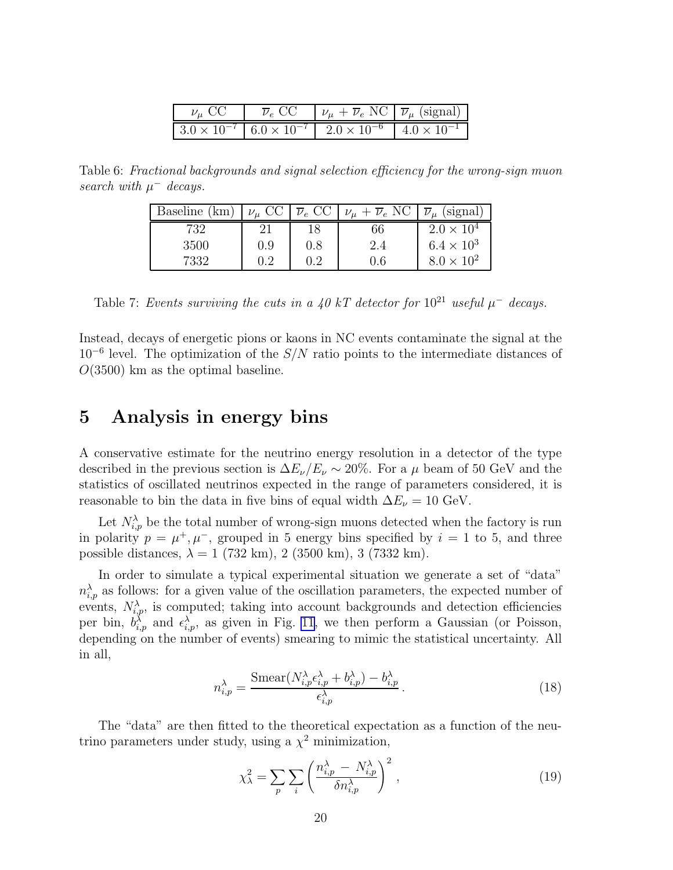| $\nu_{\mu}$ CC | $\overline{\nu}_e \text{ CC }  \nu_\mu + \overline{\nu}_e \text{ NC }  \overline{\nu}_\mu \text{ (signal)} $ |  |
|----------------|--------------------------------------------------------------------------------------------------------------|--|
|                | $3.0 \times 10^{-7}$ 6.0 $\times 10^{-7}$ 2.0 $\times 10^{-6}$ 4.0 $\times 10^{-1}$                          |  |

<span id="page-20-0"></span>Table 6: *Fractional backgrounds and signal selection efficiency for the wrong-sign muon* search with  $\mu^-$  decays.

| Baseline (km) | $\nu_{\mu}$ CC | $\overline{\nu}_e$ CC | $\nu_{\mu} + \overline{\nu}_e$ NC | (signal)<br>$\overline{\nu}_\mu$ |
|---------------|----------------|-----------------------|-----------------------------------|----------------------------------|
| 732           |                | 18                    | 66                                | $2.0 \times 10^4$                |
| 3500          | 0.9            | 0.8                   | 2.4                               | $6.4 \times 10^{3}$              |
| 7332          | $\rm 0.2$      | $\rm 0.2$             | $0.6\,$                           | $8.0 \times 10^2$                |

Table 7: *Events surviving the cuts in a 40 kT detector for*  $10^{21}$  *useful*  $\mu^-$  *decays.* 

Instead, decays of energetic pions or kaons in NC events contaminate the signal at the  $10^{-6}$  level. The optimization of the  $S/N$  ratio points to the intermediate distances of  $O(3500)$  km as the optimal baseline.

### 5 Analysis in energy bins

A conservative estimate for the neutrino energy resolution in a detector of the type described in the previous section is  $\Delta E_{\nu}/E_{\nu} \sim 20\%$ . For a  $\mu$  beam of 50 GeV and the statistics of oscillated neutrinos expected in the range of parameters considered, it is reasonable to bin the data in five bins of equal width  $\Delta E_{\nu} = 10 \text{ GeV}$ .

Let  $N_{i,p}^{\lambda}$  be the total number of wrong-sign muons detected when the factory is run in polarity  $p = \mu^+, \mu^-,$  grouped in 5 energy bins specified by  $i = 1$  to 5, and three possible distances,  $\lambda = 1$  (732 km), 2 (3500 km), 3 (7332 km).

In order to simulate a typical experimental situation we generate a set of "data"  $n_{i,p}^{\lambda}$  as follows: for a given value of the oscillation parameters, the expected number of events,  $N_{i,p}^{\lambda}$ , is computed; taking into account backgrounds and detection efficiencies per bin,  $b_{i,p}^{\lambda}$  and  $\epsilon_{i,p}^{\lambda}$ , as given in Fig. [11](#page-21-0), we then perform a Gaussian (or Poisson, depending on the number of events) smearing to mimic the statistical uncertainty. All in all,

$$
n_{i,p}^{\lambda} = \frac{\text{Smear}(N_{i,p}^{\lambda} \epsilon_{i,p}^{\lambda} + b_{i,p}^{\lambda}) - b_{i,p}^{\lambda}}{\epsilon_{i,p}^{\lambda}}.
$$
\n(18)

The "data" are then fitted to the theoretical expectation as a function of the neutrino parameters under study, using a  $\chi^2$  minimization,

$$
\chi_{\lambda}^{2} = \sum_{p} \sum_{i} \left( \frac{n_{i,p}^{\lambda} - N_{i,p}^{\lambda}}{\delta n_{i,p}^{\lambda}} \right)^{2}, \qquad (19)
$$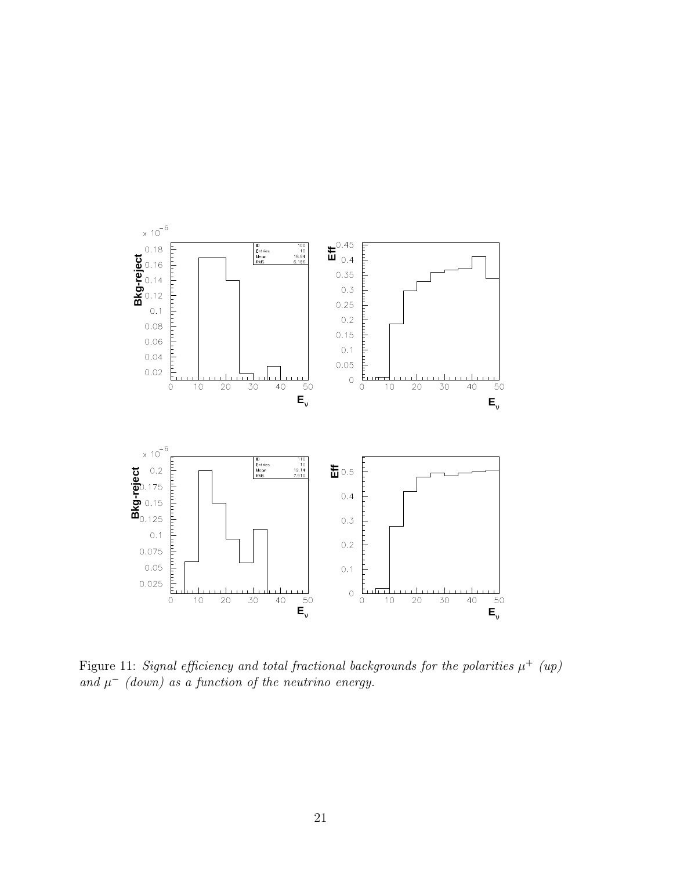<span id="page-21-0"></span>

Figure 11: *Signal efficiency and total fractional backgrounds for the polarities*  $\mu^+$  *(up)* and  $\mu^-$  *(down)* as a function of the neutrino energy.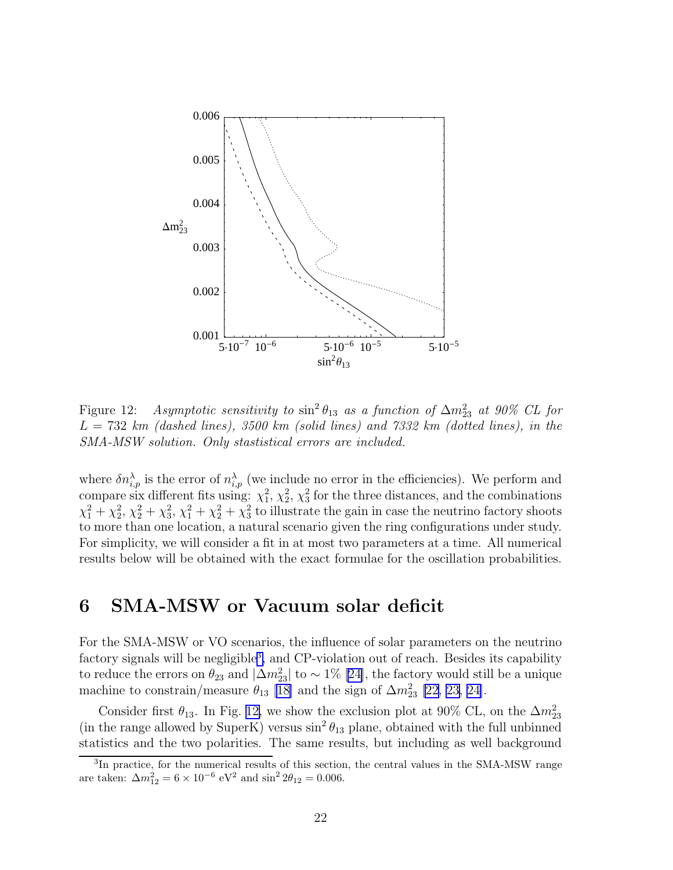<span id="page-22-0"></span>

Figure 12: *Asymptotic sensitivity to*  $\sin^2 \theta_{13}$  *as a function of*  $\Delta m_{23}^2$  *at 90% CL for* L = 732 *km (dashed lines), 3500 km (solid lines) and 7332 km (dotted lines), in the SMA-MSW solution. Only stastistical errors are included.*

where  $\delta n_{i,p}^{\lambda}$  is the error of  $n_{i,p}^{\lambda}$  (we include no error in the efficiencies). We perform and compare six different fits using:  $\chi_1^2$ ,  $\chi_2^2$ ,  $\chi_3^2$  for the three distances, and the combinations  $\chi_1^2 + \chi_2^2$ ,  $\chi_2^2 + \chi_3^2$ ,  $\chi_1^2 + \chi_2^2 + \chi_3^2$  to illustrate the gain in case the neutrino factory shoots to more than one location, a natural scenario given the ring configurations under study. For simplicity, we will consider a fit in at most two parameters at a time. All numerical results below will be obtained with the exact formulae for the oscillation probabilities.

## 6 SMA-MSW or Vacuum solar deficit

For the SMA-MSW or VO scenarios, the influence of solar parameters on the neutrino factory signals will be negligible<sup>3</sup>, and CP-violation out of reach. Besides its capability toreduce the errors on  $\theta_{23}$  and  $|\Delta m^2_{23}|$  to ~ 1% [[24\]](#page-44-0), the factory would still be a unique machine to constrain/measure  $\theta_{13}$  [\[18\]](#page-44-0) and the sign of  $\Delta m^2_{23}$  [\[22](#page-44-0), [23, 24\]](#page-44-0).

Consider first  $\theta_{13}$ . In Fig. 12, we show the exclusion plot at 90% CL, on the  $\Delta m^2_{23}$ (in the range allowed by SuperK) versus  $\sin^2 \theta_{13}$  plane, obtained with the full unbinned statistics and the two polarities. The same results, but including as well background

<sup>&</sup>lt;sup>3</sup>In practice, for the numerical results of this section, the central values in the SMA-MSW range are taken:  $\Delta m_{12}^2 = 6 \times 10^{-6} \text{ eV}^2$  and  $\sin^2 2\theta_{12} = 0.006$ .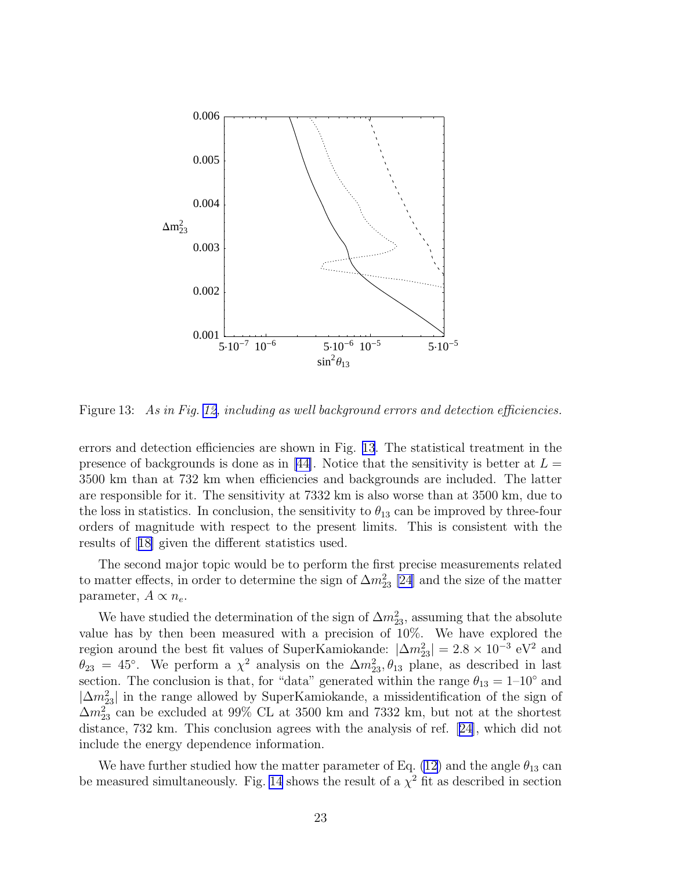

Figure 13: *As in Fig. [12,](#page-22-0) including as well background errors and detection efficiencies.*

errors and detection efficiencies are shown in Fig. 13. The statistical treatment in the presenceof backgrounds is done as in [[44\]](#page-45-0). Notice that the sensitivity is better at  $L =$ 3500 km than at 732 km when efficiencies and backgrounds are included. The latter are responsible for it. The sensitivity at 7332 km is also worse than at 3500 km, due to the loss in statistics. In conclusion, the sensitivity to  $\theta_{13}$  can be improved by three-four orders of magnitude with respect to the present limits. This is consistent with the results of[[18\]](#page-44-0) given the different statistics used.

The second major topic would be to perform the first precise measurements related to matter effects, in order to determine the sign of  $\Delta m^2_{23}$  [\[24](#page-44-0)] and the size of the matter parameter,  $A \propto n_e$ .

We have studied the determination of the sign of  $\Delta m^2_{23}$ , assuming that the absolute value has by then been measured with a precision of 10%. We have explored the region around the best fit values of SuperKamiokande:  $|\Delta m_{23}^2| = 2.8 \times 10^{-3} \text{ eV}^2$  and  $\theta_{23} = 45^{\circ}$ . We perform a  $\chi^2$  analysis on the  $\Delta m_{23}^2, \theta_{13}$  plane, as described in last section. The conclusion is that, for "data" generated within the range  $\theta_{13} = 1-10°$  and  $|\Delta m_{23}^2|$  in the range allowed by SuperKamiokande, a missidentification of the sign of  $\Delta m^2_{23}$  can be excluded at 99% CL at 3500 km and 7332 km, but not at the shortest distance, 732 km. This conclusion agrees with the analysis of ref.[[24\]](#page-44-0), which did not include the energy dependence information.

We have further studied how the matter parameter of Eq. [\(12](#page-7-0)) and the angle  $\theta_{13}$  can be measured simultaneously. Fig. [14](#page-24-0) shows the result of a  $\chi^2$  fit as described in section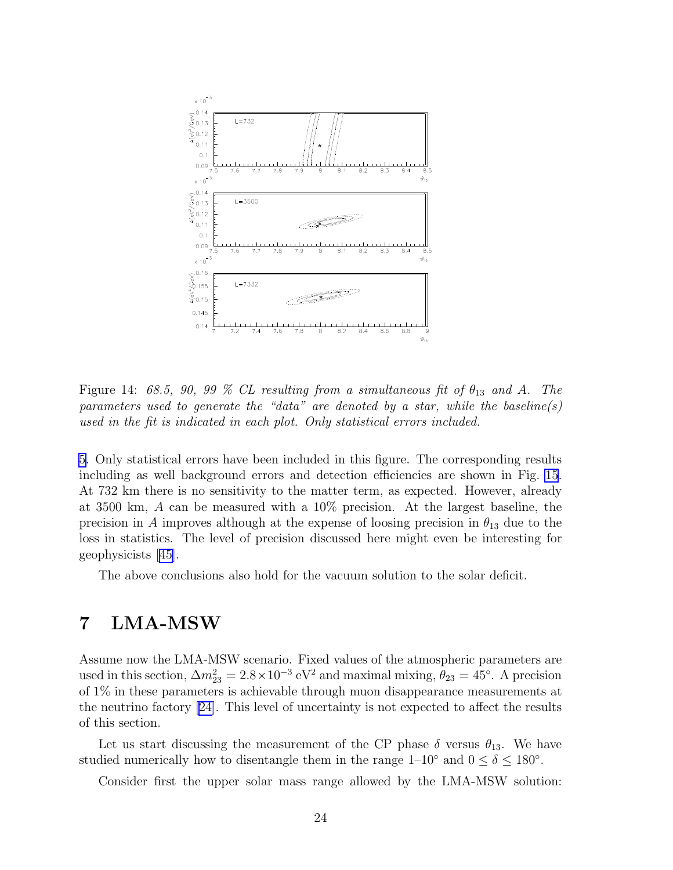<span id="page-24-0"></span>

Figure 14:  $68.5$ ,  $90$ ,  $99\%$  CL resulting from a simultaneous fit of  $\theta_{13}$  and A. The *parameters used to generate the "data" are denoted by a star, while the baseline(s) used in the fit is indicated in each plot. Only statistical errors included.*

[5.](#page-20-0) Only statistical errors have been included in this figure. The corresponding results including as well background errors and detection efficiencies are shown in Fig. [15](#page-25-0). At 732 km there is no sensitivity to the matter term, as expected. However, already at 3500 km, A can be measured with a 10% precision. At the largest baseline, the precision in A improves although at the expense of loosing precision in  $\theta_{13}$  due to the loss in statistics. The level of precision discussed here might even be interesting for geophysicists [\[45\]](#page-46-0).

The above conclusions also hold for the vacuum solution to the solar deficit.

## 7 LMA-MSW

Assume now the LMA-MSW scenario. Fixed values of the atmospheric parameters are used in this section,  $\Delta m_{23}^2 = 2.8 \times 10^{-3} \text{ eV}^2$  and maximal mixing,  $\theta_{23} = 45^\circ$ . A precision of 1% in these parameters is achievable through muon disappearance measurements at the neutrino factory [\[24\]](#page-44-0). This level of uncertainty is not expected to affect the results of this section.

Let us start discussing the measurement of the CP phase  $\delta$  versus  $\theta_{13}$ . We have studied numerically how to disentangle them in the range  $1-10^{\circ}$  and  $0 \le \delta \le 180^{\circ}$ .

Consider first the upper solar mass range allowed by the LMA-MSW solution: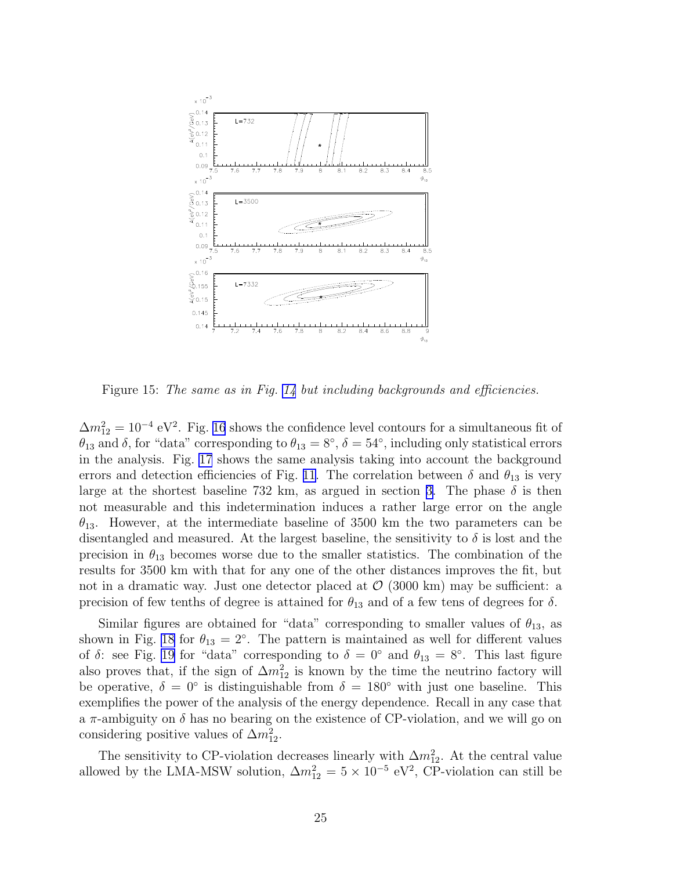<span id="page-25-0"></span>

Figure 15: *The same as in Fig. [14](#page-24-0) but including backgrounds and efficiencies.*

 $\Delta m_{12}^2 = 10^{-4} \text{ eV}^2$ . Fig. [16](#page-26-0) shows the confidence level contours for a simultaneous fit of  $\theta_{13}$  and  $\delta$ , for "data" corresponding to  $\theta_{13} = 8^\circ$ ,  $\delta = 54^\circ$ , including only statistical errors in the analysis. Fig. [17](#page-27-0) shows the same analysis taking into account the background errors and detection efficiencies of Fig. [11](#page-21-0). The correlation between  $\delta$  and  $\theta_{13}$  is very large at the shortest baseline 732 km, as argued in section [3.](#page-5-0) The phase  $\delta$  is then not measurable and this indetermination induces a rather large error on the angle  $\theta_{13}$ . However, at the intermediate baseline of 3500 km the two parameters can be disentangled and measured. At the largest baseline, the sensitivity to  $\delta$  is lost and the precision in  $\theta_{13}$  becomes worse due to the smaller statistics. The combination of the results for 3500 km with that for any one of the other distances improves the fit, but not in a dramatic way. Just one detector placed at  $\mathcal{O}(3000 \text{ km})$  may be sufficient: a precision of few tenths of degree is attained for  $\theta_{13}$  and of a few tens of degrees for  $\delta$ .

Similar figures are obtained for "data" corresponding to smaller values of  $\theta_{13}$ , as shown in Fig. [18](#page-27-0) for  $\theta_{13} = 2^{\circ}$ . The pattern is maintained as well for different values of  $\delta$ : see Fig. [19](#page-28-0) for "data" corresponding to  $\delta = 0^{\circ}$  and  $\theta_{13} = 8^{\circ}$ . This last figure also proves that, if the sign of  $\Delta m_{12}^2$  is known by the time the neutrino factory will be operative,  $\delta = 0^{\circ}$  is distinguishable from  $\delta = 180^{\circ}$  with just one baseline. This exemplifies the power of the analysis of the energy dependence. Recall in any case that a  $\pi$ -ambiguity on  $\delta$  has no bearing on the existence of CP-violation, and we will go on considering positive values of  $\Delta m_{12}^2$ .

The sensitivity to CP-violation decreases linearly with  $\Delta m_{12}^2$ . At the central value allowed by the LMA-MSW solution,  $\Delta m_{12}^2 = 5 \times 10^{-5} \text{ eV}^2$ , CP-violation can still be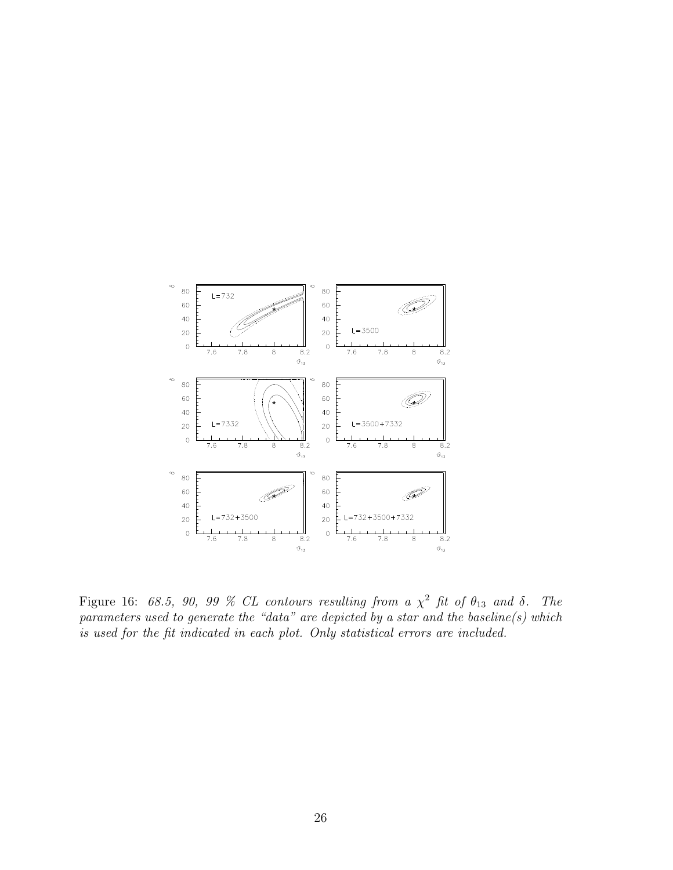<span id="page-26-0"></span>

Figure 16:  $68.5$ ,  $90$ ,  $99\%$  CL contours resulting from a  $\chi^2$  fit of  $\theta_{13}$  and  $\delta$ . The *parameters used to generate the "data" are depicted by a star and the baseline(s) which is used for the fit indicated in each plot. Only statistical errors are included.*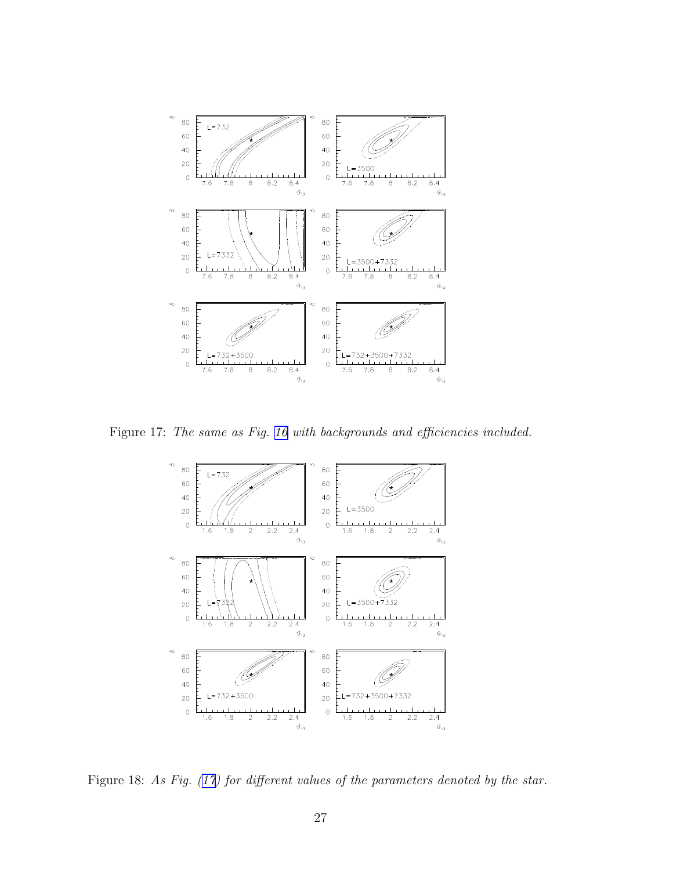<span id="page-27-0"></span>

Figure 17: *The same as Fig. [16](#page-26-0) with backgrounds and efficiencies included.*



Figure 18: As Fig. (17) for different values of the parameters denoted by the star.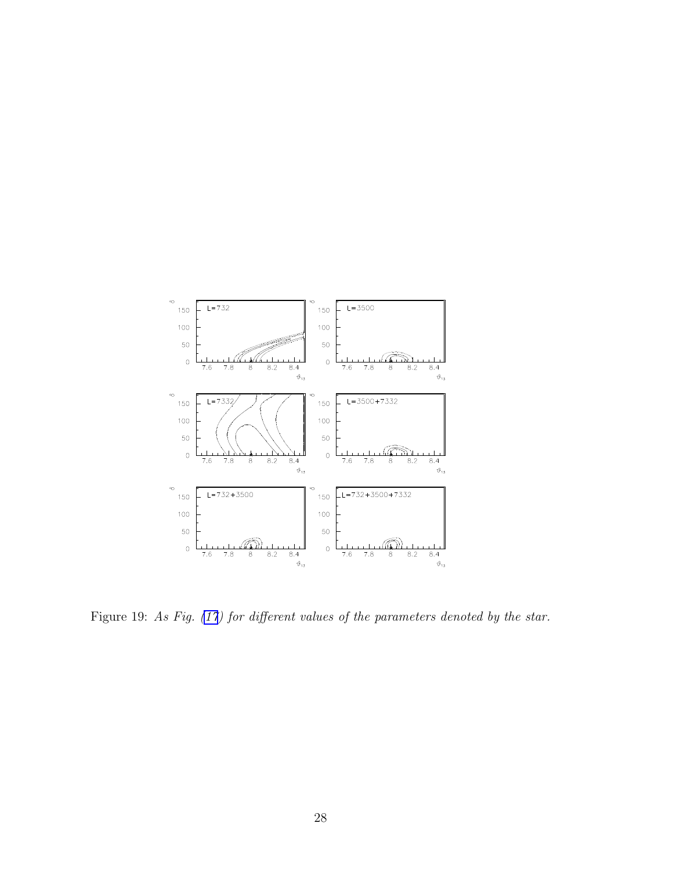<span id="page-28-0"></span>

Figure 19: *As Fig. [\(17](#page-27-0)) for different values of the parameters denoted by the star.*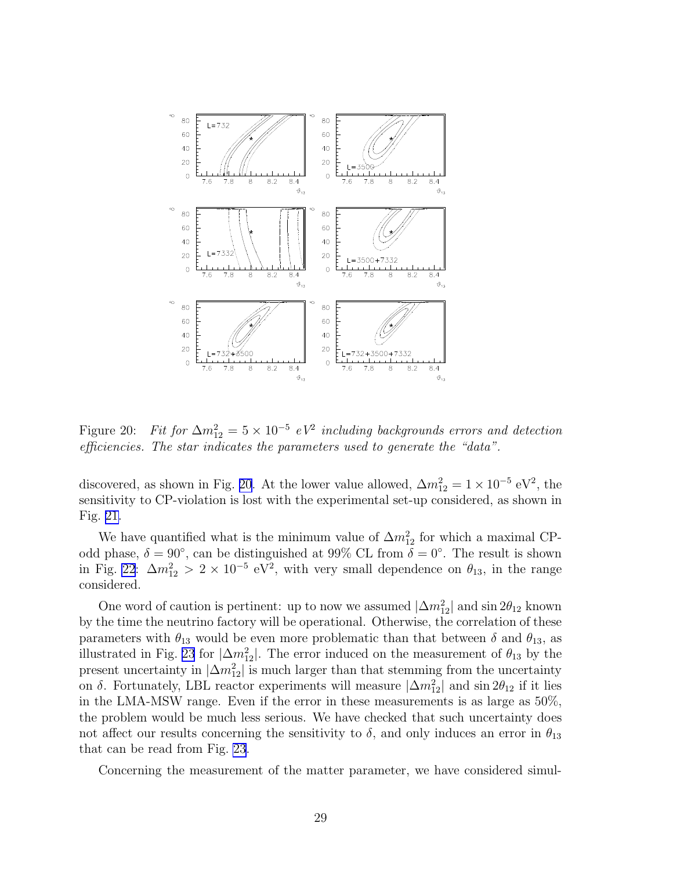<span id="page-29-0"></span>

Figure 20: *Fit for*  $\Delta m_{12}^2 = 5 \times 10^{-5}$  *eV<sup>2</sup>* including backgrounds errors and detection *efficiencies. The star indicates the parameters used to generate the "data".*

discovered, as shown in Fig. 20. At the lower value allowed,  $\Delta m_{12}^2 = 1 \times 10^{-5} \text{ eV}^2$ , the sensitivity to CP-violation is lost with the experimental set-up considered, as shown in Fig. [21.](#page-30-0)

We have quantified what is the minimum value of  $\Delta m_{12}^2$  for which a maximal CPodd phase,  $\delta = 90^{\circ}$ , can be distinguished at 99% CL from  $\delta = 0^{\circ}$ . The result is shown in Fig. [22](#page-30-0):  $\Delta m_{12}^2 > 2 \times 10^{-5}$  eV<sup>2</sup>, with very small dependence on  $\theta_{13}$ , in the range considered.

One word of caution is pertinent: up to now we assumed  $|\Delta m_{12}^2|$  and  $\sin 2\theta_{12}$  known by the time the neutrino factory will be operational. Otherwise, the correlation of these parameters with  $\theta_{13}$  would be even more problematic than that between  $\delta$  and  $\theta_{13}$ , as illustrated in Fig. [23](#page-31-0) for  $|\Delta m_{12}^2|$ . The error induced on the measurement of  $\theta_{13}$  by the present uncertainty in  $|\Delta m_{12}^2|$  is much larger than that stemming from the uncertainty on  $\delta$ . Fortunately, LBL reactor experiments will measure  $|\Delta m_{12}^2|$  and  $\sin 2\theta_{12}$  if it lies in the LMA-MSW range. Even if the error in these measurements is as large as 50%, the problem would be much less serious. We have checked that such uncertainty does not affect our results concerning the sensitivity to  $\delta$ , and only induces an error in  $\theta_{13}$ that can be read from Fig. [23](#page-31-0).

Concerning the measurement of the matter parameter, we have considered simul-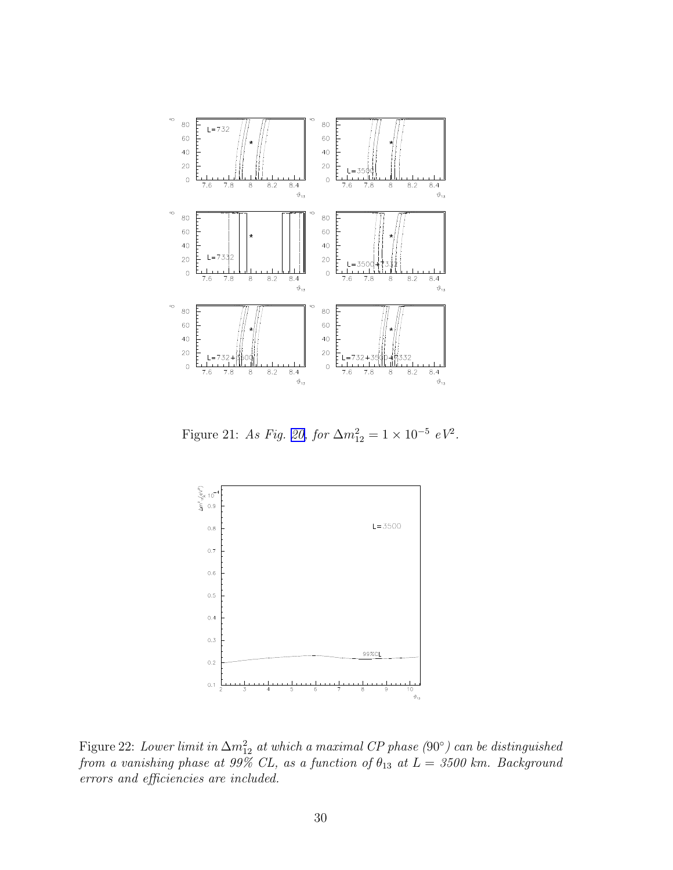<span id="page-30-0"></span>

Figure 21: *As Fig.* [20,](#page-29-0) *for*  $\Delta m_{12}^2 = 1 \times 10^{-5}$   $eV^2$ .



Figure 22: *Lower limit in*  $\Delta m_{12}^2$  *at which a maximal CP phase (*90°*) can be distinguished from a vanishing phase at 99% CL, as a function of*  $\theta_{13}$  *at*  $L = 3500$  *km. Background errors and efficiencies are included.*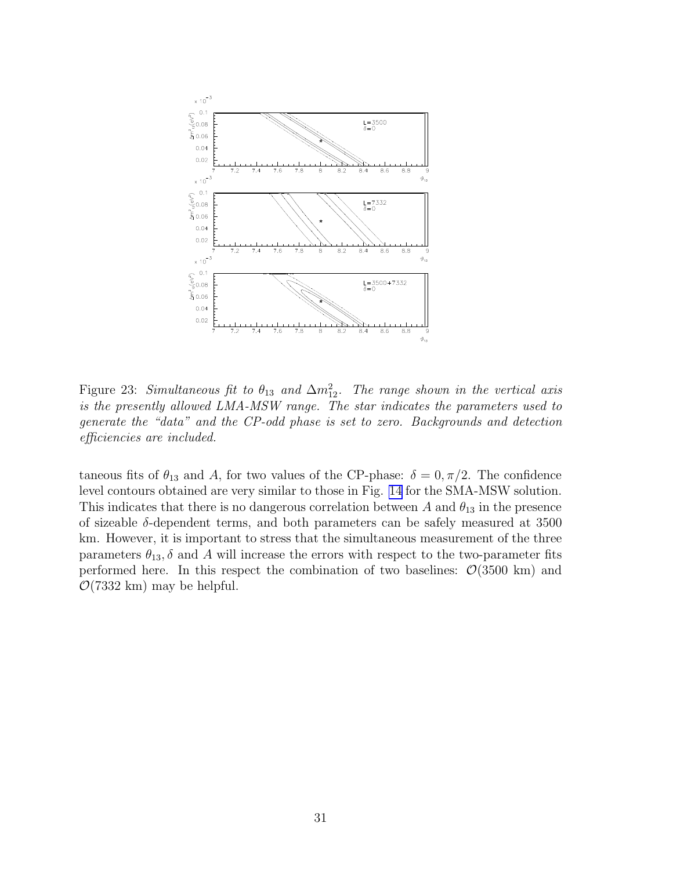<span id="page-31-0"></span>

Figure 23: *Simultaneous fit to*  $\theta_{13}$  *and*  $\Delta m_{12}^2$ . *The range shown in the vertical axis is the presently allowed LMA-MSW range. The star indicates the parameters used to generate the "data" and the CP-odd phase is set to zero. Backgrounds and detection efficiencies are included.*

taneous fits of  $\theta_{13}$  and A, for two values of the CP-phase:  $\delta = 0, \pi/2$ . The confidence level contours obtained are very similar to those in Fig. [14](#page-24-0) for the SMA-MSW solution. This indicates that there is no dangerous correlation between A and  $\theta_{13}$  in the presence of sizeable  $\delta$ -dependent terms, and both parameters can be safely measured at 3500 km. However, it is important to stress that the simultaneous measurement of the three parameters  $\theta_{13}$ ,  $\delta$  and A will increase the errors with respect to the two-parameter fits performed here. In this respect the combination of two baselines:  $\mathcal{O}(3500 \text{ km})$  and  $\mathcal{O}(7332 \text{ km})$  may be helpful.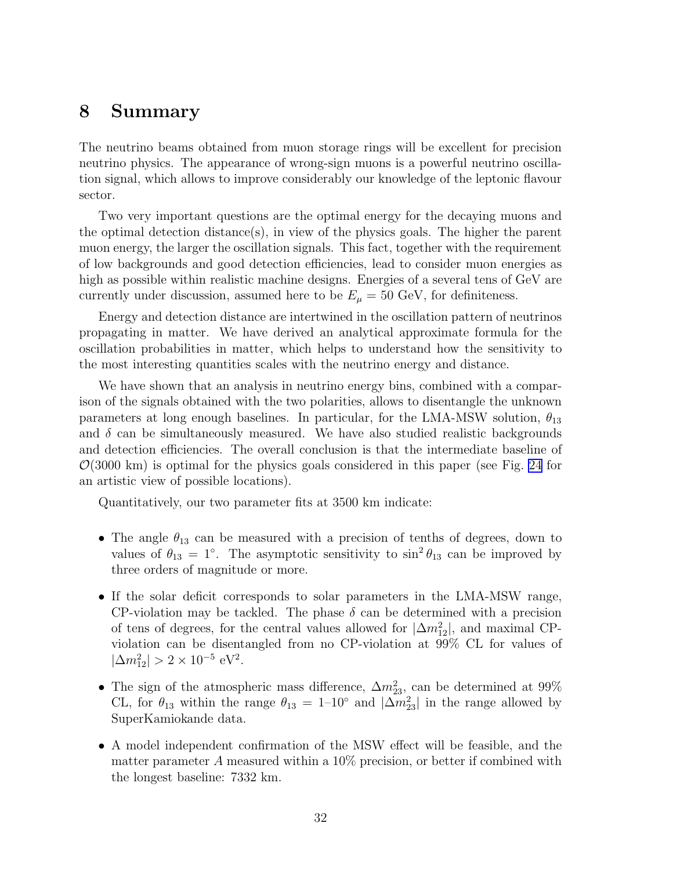### 8 Summary

The neutrino beams obtained from muon storage rings will be excellent for precision neutrino physics. The appearance of wrong-sign muons is a powerful neutrino oscillation signal, which allows to improve considerably our knowledge of the leptonic flavour sector.

Two very important questions are the optimal energy for the decaying muons and the optimal detection distance(s), in view of the physics goals. The higher the parent muon energy, the larger the oscillation signals. This fact, together with the requirement of low backgrounds and good detection efficiencies, lead to consider muon energies as high as possible within realistic machine designs. Energies of a several tens of GeV are currently under discussion, assumed here to be  $E_{\mu} = 50$  GeV, for definiteness.

Energy and detection distance are intertwined in the oscillation pattern of neutrinos propagating in matter. We have derived an analytical approximate formula for the oscillation probabilities in matter, which helps to understand how the sensitivity to the most interesting quantities scales with the neutrino energy and distance.

We have shown that an analysis in neutrino energy bins, combined with a comparison of the signals obtained with the two polarities, allows to disentangle the unknown parameters at long enough baselines. In particular, for the LMA-MSW solution,  $\theta_{13}$ and  $\delta$  can be simultaneously measured. We have also studied realistic backgrounds and detection efficiencies. The overall conclusion is that the intermediate baseline of  $\mathcal{O}(3000 \text{ km})$  is optimal for the physics goals considered in this paper (see Fig. [24](#page-34-0) for an artistic view of possible locations).

Quantitatively, our two parameter fits at 3500 km indicate:

- The angle  $\theta_{13}$  can be measured with a precision of tenths of degrees, down to values of  $\theta_{13} = 1^\circ$ . The asymptotic sensitivity to  $\sin^2 \theta_{13}$  can be improved by three orders of magnitude or more.
- If the solar deficit corresponds to solar parameters in the LMA-MSW range, CP-violation may be tackled. The phase  $\delta$  can be determined with a precision of tens of degrees, for the central values allowed for  $|\Delta m_{12}^2|$ , and maximal CPviolation can be disentangled from no CP-violation at 99% CL for values of  $|\Delta m_{12}^2| > 2 \times 10^{-5} \text{ eV}^2.$
- The sign of the atmospheric mass difference,  $\Delta m_{23}^2$ , can be determined at 99% CL, for  $\theta_{13}$  within the range  $\theta_{13} = 1-10^{\circ}$  and  $|\Delta m_{23}^2|$  in the range allowed by SuperKamiokande data.
- A model independent confirmation of the MSW effect will be feasible, and the matter parameter A measured within a 10% precision, or better if combined with the longest baseline: 7332 km.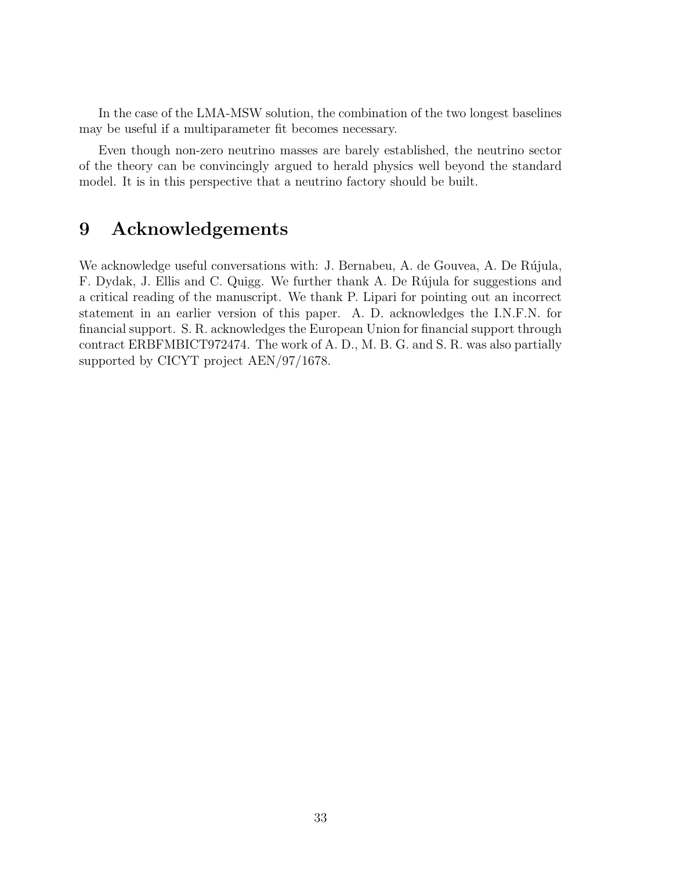In the case of the LMA-MSW solution, the combination of the two longest baselines may be useful if a multiparameter fit becomes necessary.

Even though non-zero neutrino masses are barely established, the neutrino sector of the theory can be convincingly argued to herald physics well beyond the standard model. It is in this perspective that a neutrino factory should be built.

### 9 Acknowledgements

We acknowledge useful conversations with: J. Bernabeu, A. de Gouvea, A. De Rújula, F. Dydak, J. Ellis and C. Quigg. We further thank A. De Rújula for suggestions and a critical reading of the manuscript. We thank P. Lipari for pointing out an incorrect statement in an earlier version of this paper. A. D. acknowledges the I.N.F.N. for financial support. S. R. acknowledges the European Union for financial support through contract ERBFMBICT972474. The work of A. D., M. B. G. and S. R. was also partially supported by CICYT project AEN/97/1678.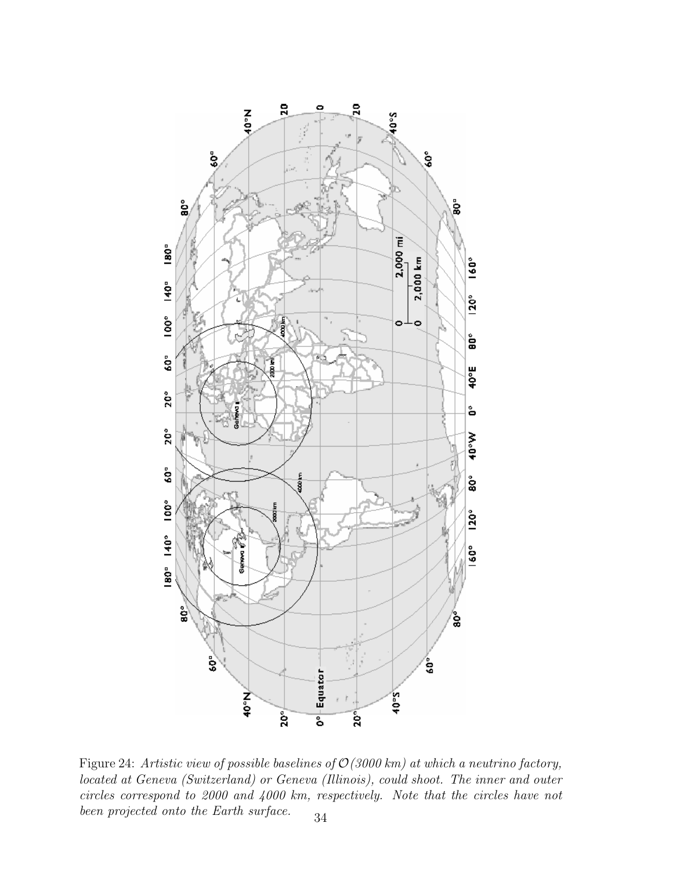<span id="page-34-0"></span>

Figure 24: *Artistic view of possible baselines of* O*(3000 km) at which a neutrino factory, located at Geneva (Switzerland) or Geneva (Illinois), could shoot. The inner and outer circles correspond to 2000 and 4000 km, respectively. Note that the circles have not been projected onto the Earth surface.* 34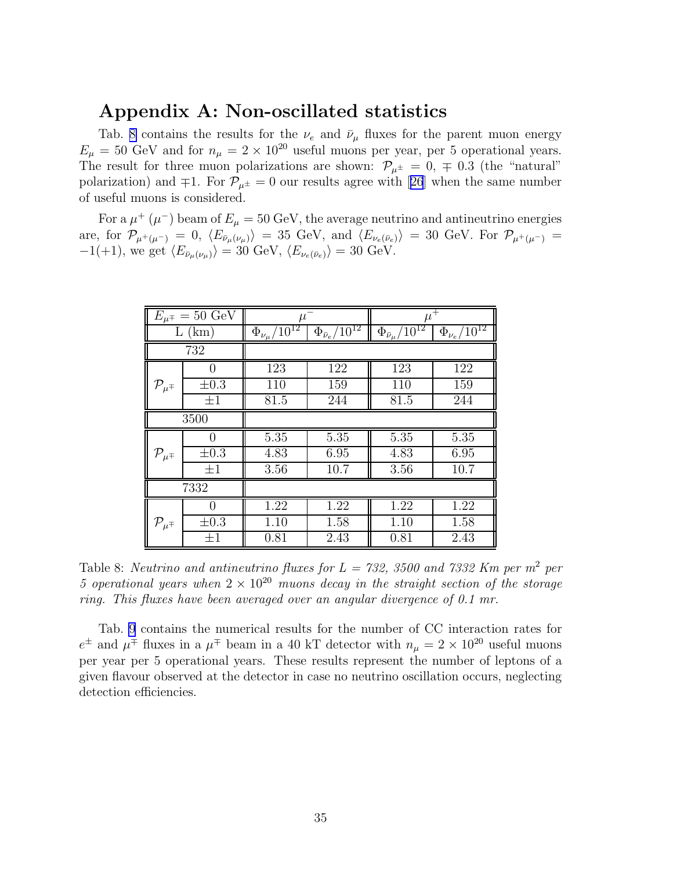# Appendix A: Non-oscillated statistics

Tab. 8 contains the results for the  $\nu_e$  and  $\bar{\nu}_{\mu}$  fluxes for the parent muon energy  $E_{\mu} = 50$  GeV and for  $n_{\mu} = 2 \times 10^{20}$  useful muons per year, per 5 operational years. The result for three muon polarizations are shown:  $\mathcal{P}_{\mu^{\pm}} = 0, \pm 0.3$  (the "natural" polarization)and  $\mp 1$ . For  $\mathcal{P}_{\mu^{\pm}} = 0$  our results agree with [[26](#page-44-0)] when the same number of useful muons is considered.

For a  $\mu^+$  ( $\mu^-$ ) beam of  $E_\mu = 50$  GeV, the average neutrino and antineutrino energies are, for  $\mathcal{P}_{\mu^+(\mu^-)} = 0$ ,  $\langle E_{\bar{\nu}_\mu(\nu_\mu)} \rangle = 35$  GeV, and  $\langle E_{\nu_e(\bar{\nu}_e)} \rangle = 30$  GeV. For  $\mathcal{P}_{\mu^+(\mu^-)} =$  $-1(+1)$ , we get  $\langle E_{\bar{\nu}_\mu(\nu_\mu)}\rangle = 30 \text{ GeV}, \langle E_{\nu_e(\bar{\nu}_e)}\rangle = 30 \text{ GeV}.$ 

|                           | $E_{\mu\pm} = 50 \text{ GeV}$ | $\mu^-$                             |                                         | $\mu^+$                                   |                                     |
|---------------------------|-------------------------------|-------------------------------------|-----------------------------------------|-------------------------------------------|-------------------------------------|
|                           | $L$ (km)                      | $\Phi_{\nu_\mu}/\overline{10^{12}}$ | $\Phi_{\bar{\nu}_e}/\overline{10^{12}}$ | $\Phi_{\bar{\nu}_\mu}/\overline{10^{12}}$ | $\Phi_{\nu_e} / \overline{10^{12}}$ |
|                           | 732                           |                                     |                                         |                                           |                                     |
|                           | 0                             | 123                                 | 122                                     | 123                                       | 122                                 |
| $\mathcal{P}_{\mu^{\mp}}$ | $\pm 0.3$                     | 110                                 | 159                                     | 110                                       | 159                                 |
|                           | $\pm 1$                       | 81.5                                | 244                                     | 81.5                                      | 244                                 |
|                           | 3500                          |                                     |                                         |                                           |                                     |
|                           | ∩                             | 5.35                                | 5.35                                    | 5.35                                      | 5.35                                |
| $\mathcal{P}_{\mu^{\mp}}$ | $\pm 0.3$                     | 4.83                                | 6.95                                    | 4.83                                      | 6.95                                |
|                           | $\pm 1$                       | 3.56                                | 10.7                                    | 3.56                                      | 10.7                                |
|                           | 7332                          |                                     |                                         |                                           |                                     |
|                           | 0                             | 1.22                                | 1.22                                    | 1.22                                      | 1.22                                |
| $\mathcal{P}_{\mu^{\mp}}$ | $\pm 0.3$                     | 1.10                                | 1.58                                    | 1.10                                      | 1.58                                |
|                           | $\pm 1$                       | 0.81                                | 2.43                                    | 0.81                                      | 2.43                                |

Table 8: *Neutrino and antineutrino fluxes for*  $L = 732$ *, 3500 and 7332 Km per m<sup>2</sup> per 5 operational years when*  $2 \times 10^{20}$  *muons decay in the straight section of the storage ring. This fluxes have been averaged over an angular divergence of 0.1 mr.*

Tab. [9](#page-36-0) contains the numerical results for the number of CC interaction rates for  $e^{\pm}$  and  $\mu^{\mp}$  fluxes in a  $\mu^{\mp}$  beam in a 40 kT detector with  $n_{\mu} = 2 \times 10^{20}$  useful muons per year per 5 operational years. These results represent the number of leptons of a given flavour observed at the detector in case no neutrino oscillation occurs, neglecting detection efficiencies.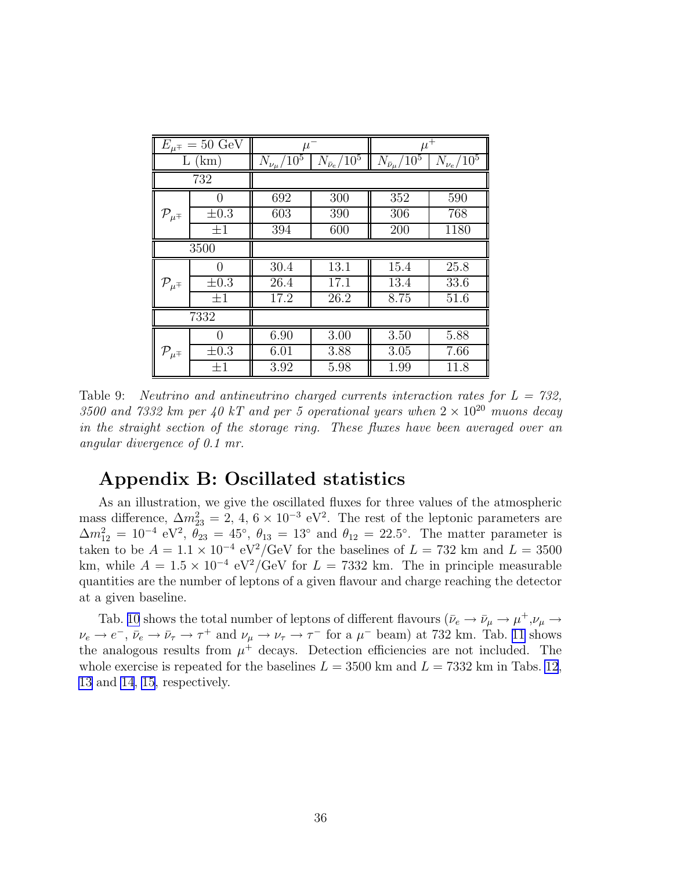<span id="page-36-0"></span>

| $E_{\mu\pm} = 50 \text{ GeV}$ |                   | $\mu^-$                |                        | $\mu^+$                    |                    |
|-------------------------------|-------------------|------------------------|------------------------|----------------------------|--------------------|
| L                             | (km)              | $N_{\nu_{\mu}}/10^{5}$ | $N_{\bar{\nu}_e}/10^5$ | $N_{\bar{\nu}_\mu} / 10^5$ | $N_{\nu_e} / 10^5$ |
|                               | 732               |                        |                        |                            |                    |
|                               |                   | 692                    | 300                    | 352                        | 590                |
| $\mathcal{P}_{\mu^{\mp}}$     | $\pm 0.3$         | 603                    | 390                    | 306                        | 768                |
|                               | $\pm 1$           | 394                    | 600                    | 200                        | 1180               |
| 3500                          |                   |                        |                        |                            |                    |
|                               | $\mathbf{0}$      | 30.4                   | 13.1                   | 15.4                       | 25.8               |
| $\mathcal{P}_{\mu^{\mp}}$     | $\pm 0.3$         | 26.4                   | 17.1                   | 13.4                       | 33.6               |
|                               | $\pm 1$           | 17.2                   | 26.2                   | 8.75                       | 51.6               |
|                               | 7332              |                        |                        |                            |                    |
|                               | $\mathbf{\Omega}$ | 6.90                   | 3.00                   | 3.50                       | 5.88               |
| $\mathcal{P}_{\mu^{\mp}}$     | $\pm 0.3$         | 6.01                   | 3.88                   | 3.05                       | 7.66               |
|                               | $\pm 1$           | 3.92                   | 5.98                   | 1.99                       | 11.8               |

Table 9: *Neutrino and antineutrino charged currents interaction rates for L = 732,* 3500 and 7332 km per 40 kT and per 5 operational years when  $2 \times 10^{20}$  muons decay *in the straight section of the storage ring. These fluxes have been averaged over an angular divergence of 0.1 mr.*

## Appendix B: Oscillated statistics

As an illustration, we give the oscillated fluxes for three values of the atmospheric mass difference,  $\Delta m_{23}^2 = 2, 4, 6 \times 10^{-3} \text{ eV}^2$ . The rest of the leptonic parameters are  $\Delta m_{12}^2 = 10^{-4} \text{ eV}^2$ ,  $\theta_{23} = 45^{\circ}$ ,  $\theta_{13} = 13^{\circ}$  and  $\theta_{12} = 22.5^{\circ}$ . The matter parameter is taken to be  $A = 1.1 \times 10^{-4} \text{ eV}^2/\text{GeV}$  for the baselines of  $L = 732 \text{ km}$  and  $L = 3500$ km, while  $A = 1.5 \times 10^{-4} \text{ eV}^2/\text{GeV}$  for  $L = 7332 \text{ km}$ . The in principle measurable quantities are the number of leptons of a given flavour and charge reaching the detector at a given baseline.

Tab. [10](#page-37-0) shows the total number of leptons of different flavours  $(\bar{\nu}_e \to \bar{\nu}_\mu \to \mu^+,\nu_\mu \to \mu^+ \to \mu^-)$  $\nu_e \to e^-$ ,  $\bar{\nu}_e \to \bar{\nu}_\tau \to \tau^+$  and  $\nu_\mu \to \nu_\tau \to \tau^-$  for a  $\mu^-$  beam) at 732 km. Tab. [11](#page-37-0) shows the analogous results from  $\mu^+$  decays. Detection efficiencies are not included. The whole exercise is repeated for the baselines  $L = 3500 \text{ km}$  and  $L = 7332 \text{ km}$  in Tabs. [12](#page-38-0), [13](#page-38-0) and [14](#page-39-0), [15](#page-39-0), respectively.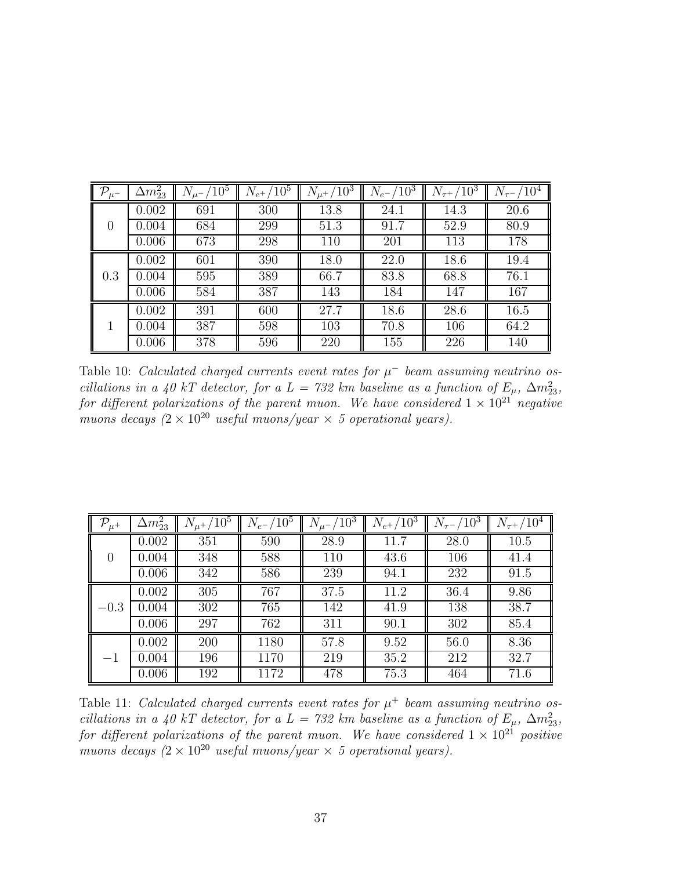<span id="page-37-0"></span>

| $\sqrt{\mathcal{P}_{\mu^-}}$ | $\Delta m^2_{23}$ | $N_{\mu^-}/10^5$ | $N_{e^+}/10^5$ | $\sqrt{10^3}$<br>$\overline{N}_{\mu^+}$ / | $/10^3$<br>$N_{e^-}/$ | $/10^3$<br>$N_{\tau^+}$ | $\rm ^{\prime}10^{4}$ |
|------------------------------|-------------------|------------------|----------------|-------------------------------------------|-----------------------|-------------------------|-----------------------|
|                              | 0.002             | 691              | 300            | 13.8                                      | 24.1                  | 14.3                    | 20.6                  |
| 0                            | 0.004             | 684              | 299            | 51.3                                      | 91.7                  | 52.9                    | 80.9                  |
|                              | 0.006             | 673              | 298            | 110                                       | 201                   | 113                     | 178                   |
|                              | 0.002             | 601              | 390            | 18.0                                      | 22.0                  | 18.6                    | 19.4                  |
| 0.3                          | 0.004             | 595              | 389            | 66.7                                      | 83.8                  | 68.8                    | 76.1                  |
|                              | 0.006             | 584              | 387            | 143                                       | 184                   | 147                     | 167                   |
|                              | 0.002             | 391              | 600            | 27.7                                      | 18.6                  | 28.6                    | 16.5                  |
|                              | 0.004             | 387              | 598            | 103                                       | 70.8                  | 106                     | 64.2                  |
|                              | 0.006             | 378              | 596            | 220                                       | 155                   | 226                     | 140                   |

Table 10: *Calculated charged currents event rates for*  $\mu^-$  *beam assuming neutrino oscillations in a 40 kT detector, for a L = 732 km baseline as a function of*  $E_{\mu}$ ,  $\Delta m_{23}^2$ , *for different polarizations of the parent muon. We have considered*  $1 \times 10^{21}$  *negative muons decays*  $(2 \times 10^{20} \text{ useful muons/year} \times 5 \text{ operational years}).$ 

| $\mid \mathcal{P}_{\mu^+}$ | $\Delta m^2_{23}$ | $N_{\mu^+}/10^5$ | $N_{e^-}/10^5$ | $N_{\mu^-}/\overline{10^3}$ | $N_{e^+}/10^3$ | $N_{\tau^-}/10^3$ | $N_{\tau^+}/10^4$ |
|----------------------------|-------------------|------------------|----------------|-----------------------------|----------------|-------------------|-------------------|
|                            | 0.002             | 351              | 590            | 28.9                        | 11.7           | 28.0              | 10.5              |
| 0                          | 0.004             | 348              | 588            | 110                         | 43.6           | 106               | 41.4              |
|                            | 0.006             | 342              | 586            | 239                         | 94.1           | 232               | 91.5              |
|                            | 0.002             | 305              | 767            | 37.5                        | 11.2           | 36.4              | 9.86              |
| $-0.3\,$                   | 0.004             | 302              | 765            | 142                         | 41.9           | 138               | 38.7              |
|                            | 0.006             | 297              | 762            | 311                         | 90.1           | 302               | 85.4              |
|                            | 0.002             | 200              | 1180           | 57.8                        | 9.52           | 56.0              | 8.36              |
|                            | 0.004             | 196              | 1170           | 219                         | 35.2           | 212               | 32.7              |
|                            | 0.006             | 192              | 1172           | 478                         | 75.3           | 464               | 71.6              |

Table 11: *Calculated charged currents event rates for*  $\mu^+$  *beam assuming neutrino oscillations in a 40 kT detector, for a L = 732 km baseline as a function of*  $E_{\mu}$ ,  $\Delta m_{23}^2$ , *for different polarizations of the parent muon. We have considered*  $1 \times 10^{21}$  *positive muons decays*  $(2 \times 10^{20} \text{ useful muons/year} \times 5 \text{ operational years}).$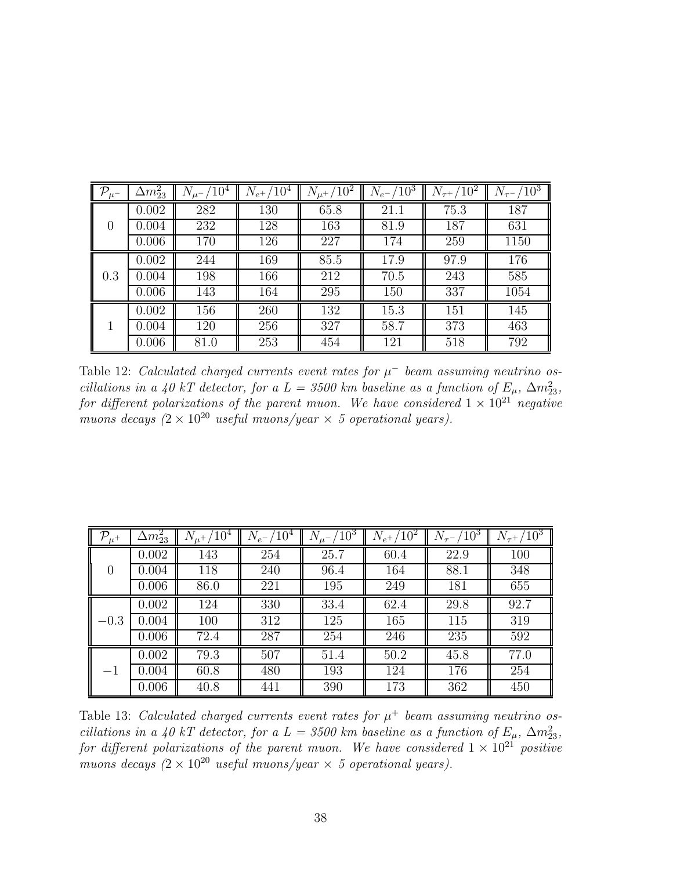<span id="page-38-0"></span>

| $\mathbb{F}^p$   | $\Delta m^2_{23}$ | $^{\prime}10^4$ | $N_{e^+}/$<br>$\sqrt{10^4}$ | $^{\prime}10^{2}$ | $\sqrt{10^3}$<br>$N_{e^-}$ | 10 <sup>2</sup><br>$N_{\tau^+}$ | $^{\prime}10^{3}$ |
|------------------|-------------------|-----------------|-----------------------------|-------------------|----------------------------|---------------------------------|-------------------|
|                  | 0.002             | 282             | 130                         | 65.8              | 21.1                       | 75.3                            | 187               |
| $\left( \right)$ | 0.004             | 232             | 128                         | 163               | 81.9                       | 187                             | 631               |
|                  | 0.006             | 170             | 126                         | 227               | 174                        | 259                             | 1150              |
|                  | 0.002             | 244             | 169                         | 85.5              | 17.9                       | 97.9                            | 176               |
| 0.3              | 0.004             | 198             | 166                         | 212               | 70.5                       | 243                             | 585               |
|                  | 0.006             | 143             | 164                         | 295               | 150                        | 337                             | 1054              |
|                  | 0.002             | 156             | 260                         | 132               | 15.3                       | 151                             | 145               |
|                  | 0.004             | 120             | 256                         | 327               | 58.7                       | 373                             | 463               |
|                  | 0.006             | 81.0            | 253                         | 454               | 121                        | 518                             | 792               |

Table 12: *Calculated charged currents event rates for*  $\mu^-$  *beam assuming neutrino oscillations in a 40 kT detector, for a L = 3500 km baseline as a function of*  $E_{\mu}$ ,  $\Delta m_{23}^2$ , *for different polarizations of the parent muon. We have considered*  $1 \times 10^{21}$  *negative muons decays*  $(2 \times 10^{20} \text{ useful muons/year} \times 5 \text{ operational years}).$ 

| $-\bar{\mathcal{P}}_{\mu^+}$ | $\Delta m^2_{23}$ | $/10^4$<br>$N_{\mu^+}/$ | $N_{e^-}/10^4$ | $N_{\mu}$ - $\sqrt{10^3}$ | $/10^{2}$<br>$N_{e^+}$ | $/10^3$<br>$N_{\tau^-}$ | $/10^3$ |
|------------------------------|-------------------|-------------------------|----------------|---------------------------|------------------------|-------------------------|---------|
| $\Omega$                     | 0.002             | 143                     | 254            | 25.7                      | 60.4                   | 22.9                    | 100     |
|                              | 0.004             | 118                     | 240            | 96.4                      | 164                    | 88.1                    | 348     |
|                              | 0.006             | 86.0                    | 221            | 195                       | 249                    | 181                     | 655     |
| $-0.3$                       | 0.002             | 124                     | 330            | 33.4                      | 62.4                   | 29.8                    | 92.7    |
|                              | 0.004             | 100                     | 312            | 125                       | 165                    | 115                     | 319     |
|                              | 0.006             | 72.4                    | 287            | 254                       | 246                    | 235                     | 592     |
| $-1$                         | 0.002             | 79.3                    | 507            | 51.4                      | 50.2                   | 45.8                    | 77.0    |
|                              | 0.004             | 60.8                    | 480            | 193                       | 124                    | 176                     | 254     |
|                              | 0.006             | 40.8                    | 441            | 390                       | 173                    | 362                     | 450     |

Table 13: *Calculated charged currents event rates for*  $\mu^+$  *beam assuming neutrino oscillations in a 40 kT detector, for a L = 3500 km baseline as a function of*  $E_{\mu}$ ,  $\Delta m_{23}^2$ , *for different polarizations of the parent muon. We have considered*  $1 \times 10^{21}$  *positive muons decays*  $(2 \times 10^{20} \text{ useful muons/year} \times 5 \text{ operational years}).$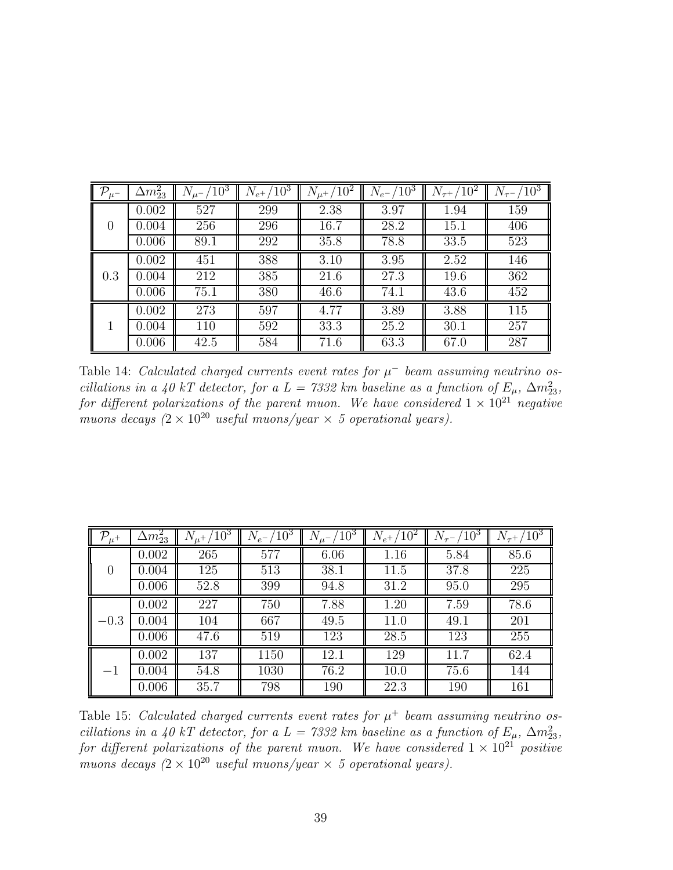<span id="page-39-0"></span>

| $\mathbb{P}$     | $\Delta m^2_{23}$ | $^{\prime}10^{3}$ | $\sqrt{10^3}$<br>$N_{e^+}/$ | $^{\prime}10^{2}$ | $\sqrt{10^3}$<br>$N_{e^-}$ | $\sqrt{10^2}$<br>$N_{\tau^+}$ | $^{\prime}10^{3}$ |
|------------------|-------------------|-------------------|-----------------------------|-------------------|----------------------------|-------------------------------|-------------------|
| $\left( \right)$ | 0.002             | 527               | 299                         | 2.38              | 3.97                       | 1.94                          | 159               |
|                  | 0.004             | 256               | 296                         | 16.7              | 28.2                       | 15.1                          | 406               |
|                  | 0.006             | 89.1              | 292                         | 35.8              | 78.8                       | 33.5                          | 523               |
| 0.3              | 0.002             | 451               | 388                         | 3.10              | 3.95                       | 2.52                          | 146               |
|                  | 0.004             | 212               | 385                         | 21.6              | 27.3                       | 19.6                          | 362               |
|                  | 0.006             | 75.1              | 380                         | 46.6              | 74.1                       | 43.6                          | 452               |
|                  | 0.002             | 273               | 597                         | 4.77              | 3.89                       | 3.88                          | 115               |
|                  | 0.004             | 110               | 592                         | 33.3              | 25.2                       | 30.1                          | 257               |
|                  | 0.006             | 42.5              | 584                         | 71.6              | 63.3                       | 67.0                          | 287               |

Table 14: *Calculated charged currents event rates for*  $\mu^-$  *beam assuming neutrino oscillations in a 40 kT detector, for a L = 7332 km baseline as a function of*  $E_{\mu}$ ,  $\Delta m_{23}^2$ , *for different polarizations of the parent muon. We have considered*  $1 \times 10^{21}$  *negative muons decays*  $(2 \times 10^{20} \text{ useful muons/year} \times 5 \text{ operational years}).$ 

| ${\cal P}_{\mu^+}$ | $\Delta m^2_{23}$ | $/10^3$<br>$N_{\mu^+}$ | $/10^3$<br>$N_{e^-}$ | $/10^{3}$ | $/10^{2}$<br>$N_{e^+}/$ | $\sqrt{10^3}$ | $\sqrt{10^3}$ |
|--------------------|-------------------|------------------------|----------------------|-----------|-------------------------|---------------|---------------|
| 0                  | 0.002             | 265                    | 577                  | 6.06      | 1.16                    | 5.84          | 85.6          |
|                    | 0.004             | 125                    | 513                  | 38.1      | 11.5                    | 37.8          | 225           |
|                    | 0.006             | 52.8                   | 399                  | 94.8      | 31.2                    | 95.0          | 295           |
| $-0.3$             | 0.002             | 227                    | 750                  | 7.88      | 1.20                    | 7.59          | 78.6          |
|                    | 0.004             | 104                    | 667                  | 49.5      | 11.0                    | 49.1          | 201           |
|                    | 0.006             | 47.6                   | 519                  | 123       | 28.5                    | 123           | 255           |
| $-1$               | 0.002             | 137                    | 1150                 | 12.1      | 129                     | 11.7          | 62.4          |
|                    | 0.004             | 54.8                   | 1030                 | 76.2      | 10.0                    | 75.6          | 144           |
|                    | 0.006             | 35.7                   | 798                  | 190       | 22.3                    | 190           | 161           |

Table 15: *Calculated charged currents event rates for*  $\mu^+$  *beam assuming neutrino oscillations in a 40 kT detector, for a L = 7332 km baseline as a function of*  $E_{\mu}$ ,  $\Delta m_{23}^2$ , *for different polarizations of the parent muon. We have considered*  $1 \times 10^{21}$  *positive muons decays*  $(2 \times 10^{20} \text{ useful muons/year} \times 5 \text{ operational years}).$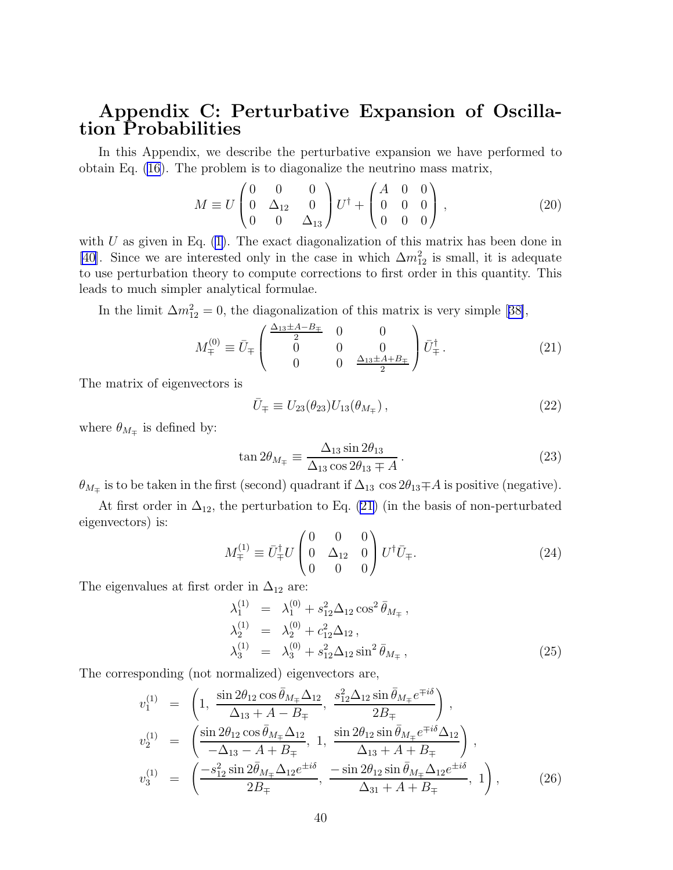# Appendix C: Perturbative Expansion of Oscillation Probabilities

In this Appendix, we describe the perturbative expansion we have performed to obtain Eq. [\(16](#page-9-0)). The problem is to diagonalize the neutrino mass matrix,

$$
M \equiv U \begin{pmatrix} 0 & 0 & 0 \\ 0 & \Delta_{12} & 0 \\ 0 & 0 & \Delta_{13} \end{pmatrix} U^{\dagger} + \begin{pmatrix} A & 0 & 0 \\ 0 & 0 & 0 \\ 0 & 0 & 0 \end{pmatrix}, \qquad (20)
$$

with U as given in Eq.  $(1)$ . The exact diagonalization of this matrix has been done in [\[40](#page-45-0)]. Since we are interested only in the case in which  $\Delta m_{12}^2$  is small, it is adequate to use perturbation theory to compute corrections to first order in this quantity. This leads to much simpler analytical formulae.

Inthe limit  $\Delta m_{12}^2 = 0$ , the diagonalization of this matrix is very simple [[38\]](#page-45-0),

$$
M_{\mp}^{(0)} \equiv \bar{U}_{\mp} \begin{pmatrix} \frac{\Delta_{13} \pm A - B_{\mp}}{2} & 0 & 0\\ 0 & 0 & 0\\ 0 & 0 & \frac{\Delta_{13} \pm A + B_{\mp}}{2} \end{pmatrix} \bar{U}_{\mp}^{\dagger}.
$$
 (21)

The matrix of eigenvectors is

$$
\bar{U}_{\mp} \equiv U_{23}(\theta_{23})U_{13}(\theta_{M_{\mp}}), \qquad (22)
$$

where  $\theta_{M_{\mp}}$  is defined by:

$$
\tan 2\theta_{M_{\mp}} \equiv \frac{\Delta_{13} \sin 2\theta_{13}}{\Delta_{13} \cos 2\theta_{13} \mp A}.
$$
\n(23)

 $\theta_{M_{\mp}}$  is to be taken in the first (second) quadrant if  $\Delta_{13}\,\cos 2\theta_{13} \mp A$  is positive (negative).

At first order in  $\Delta_{12}$ , the perturbation to Eq. (21) (in the basis of non-perturbated eigenvectors) is:

$$
M_{\mp}^{(1)} \equiv \bar{U}_{\mp}^{\dagger} U \begin{pmatrix} 0 & 0 & 0 \\ 0 & \Delta_{12} & 0 \\ 0 & 0 & 0 \end{pmatrix} U^{\dagger} \bar{U}_{\mp}.
$$
 (24)

The eigenvalues at first order in  $\Delta_{12}$  are:

$$
\lambda_1^{(1)} = \lambda_1^{(0)} + s_{12}^2 \Delta_{12} \cos^2 \bar{\theta}_{M_{\mp}},
$$
  
\n
$$
\lambda_2^{(1)} = \lambda_2^{(0)} + c_{12}^2 \Delta_{12},
$$
  
\n
$$
\lambda_3^{(1)} = \lambda_3^{(0)} + s_{12}^2 \Delta_{12} \sin^2 \bar{\theta}_{M_{\mp}},
$$
\n(25)

The corresponding (not normalized) eigenvectors are,

$$
v_1^{(1)} = \left(1, \frac{\sin 2\theta_{12} \cos \bar{\theta}_{M_{\mp}} \Delta_{12}}{\Delta_{13} + A - B_{\mp}}, \frac{s_{12}^2 \Delta_{12} \sin \bar{\theta}_{M_{\mp}} e^{\mp i\delta}}{2B_{\mp}}\right),
$$
  
\n
$$
v_2^{(1)} = \left(\frac{\sin 2\theta_{12} \cos \bar{\theta}_{M_{\mp}} \Delta_{12}}{-\Delta_{13} - A + B_{\mp}}, 1, \frac{\sin 2\theta_{12} \sin \bar{\theta}_{M_{\mp}} e^{\mp i\delta} \Delta_{12}}{\Delta_{13} + A + B_{\mp}}\right),
$$
  
\n
$$
v_3^{(1)} = \left(\frac{-s_{12}^2 \sin 2\bar{\theta}_{M_{\mp}} \Delta_{12} e^{\pm i\delta}}{2B_{\mp}}, \frac{-\sin 2\theta_{12} \sin \bar{\theta}_{M_{\mp}} \Delta_{12} e^{\pm i\delta}}{\Delta_{31} + A + B_{\mp}}, 1\right),
$$
\n(26)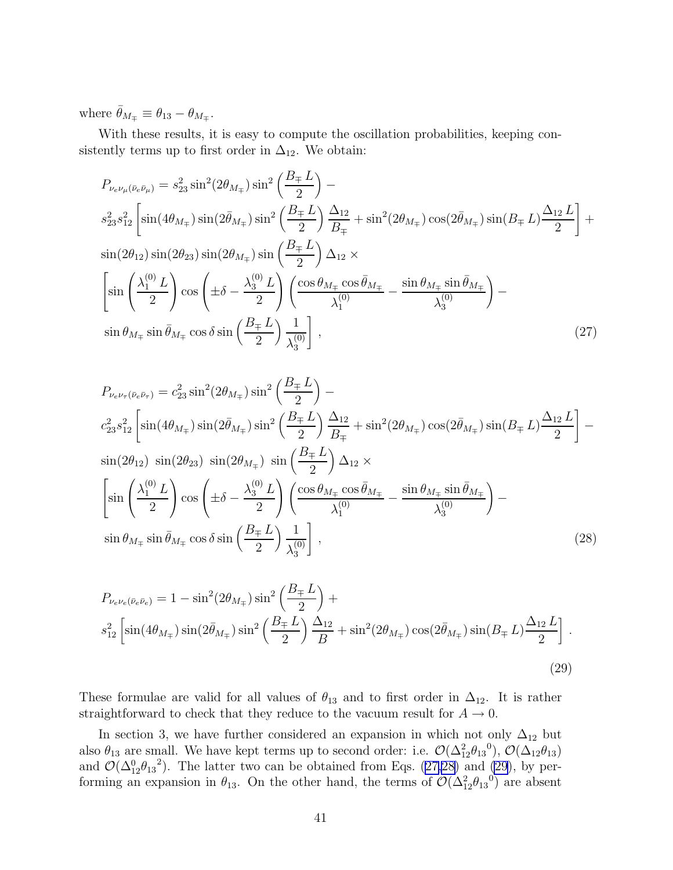where  $\bar{\theta}_{M_{\mp}} \equiv \theta_{13} - \theta_{M_{\mp}}$ .

With these results, it is easy to compute the oscillation probabilities, keeping consistently terms up to first order in  $\Delta_{12}$ . We obtain:

$$
P_{\nu_e\nu_\mu(\bar{\nu}_e\bar{\nu}_\mu)} = s_{23}^2 \sin^2(2\theta_{M_{\mp}}) \sin^2\left(\frac{B_{\mp} L}{2}\right) -
$$
  
\n
$$
s_{23}^2 s_{12}^2 \left[ \sin(4\theta_{M_{\mp}}) \sin(2\bar{\theta}_{M_{\mp}}) \sin^2\left(\frac{B_{\mp} L}{2}\right) \frac{\Delta_{12}}{B_{\mp}} + \sin^2(2\theta_{M_{\mp}}) \cos(2\bar{\theta}_{M_{\mp}}) \sin(B_{\mp} L) \frac{\Delta_{12} L}{2} \right] +
$$
  
\n
$$
\sin(2\theta_{12}) \sin(2\theta_{23}) \sin(2\theta_{M_{\mp}}) \sin\left(\frac{B_{\mp} L}{2}\right) \Delta_{12} \times
$$
  
\n
$$
\left[ \sin\left(\frac{\lambda_1^{(0)} L}{2}\right) \cos\left(\pm\delta - \frac{\lambda_3^{(0)} L}{2}\right) \left(\frac{\cos\theta_{M_{\mp}} \cos\bar{\theta}_{M_{\mp}}}{\lambda_1^{(0)}} - \frac{\sin\theta_{M_{\mp}} \sin\bar{\theta}_{M_{\mp}}}{\lambda_3^{(0)}}\right) -
$$
  
\n
$$
\sin\theta_{M_{\mp}} \sin\bar{\theta}_{M_{\mp}} \cos\delta \sin\left(\frac{B_{\mp} L}{2}\right) \frac{1}{\lambda_3^{(0)}} \right],
$$
\n(27)

$$
P_{\nu_e\nu_\tau(\bar{\nu}_e\bar{\nu}_\tau)} = c_{23}^2 \sin^2(2\theta_{M_\mp}) \sin^2\left(\frac{B_\mp L}{2}\right) - c_{23}^2 s_{12}^2 \left[ \sin(4\theta_{M_\mp}) \sin(2\bar{\theta}_{M_\mp}) \sin^2\left(\frac{B_\mp L}{2}\right) \frac{\Delta_{12}}{B_\mp} + \sin^2(2\theta_{M_\mp}) \cos(2\bar{\theta}_{M_\mp}) \sin(B_\mp L) \frac{\Delta_{12} L}{2} \right] - \sin(2\theta_{12}) \sin(2\theta_{23}) \sin(2\theta_{M_\mp}) \sin\left(\frac{B_\mp L}{2}\right) \Delta_{12} \times \left[ \sin\left(\frac{\lambda_1^{(0)} L}{2}\right) \cos\left(\pm\delta - \frac{\lambda_3^{(0)} L}{2}\right) \left(\frac{\cos\theta_{M_\mp} \cos\bar{\theta}_{M_\mp}}{\lambda_1^{(0)}} - \frac{\sin\theta_{M_\mp} \sin\bar{\theta}_{M_\mp}}{\lambda_3^{(0)}}\right) - \sin\theta_{M_\mp} \sin\bar{\theta}_{M_\mp} \cos\delta \sin\left(\frac{B_\mp L}{2}\right) \frac{1}{\lambda_3^{(0)}} \right], \tag{28}
$$

$$
P_{\nu_e \nu_e(\bar{\nu}_e \bar{\nu}_e)} = 1 - \sin^2(2\theta_{M_{\mp}}) \sin^2\left(\frac{B_{\mp} L}{2}\right) +
$$
  

$$
s_{12}^2 \left[ \sin(4\theta_{M_{\mp}}) \sin(2\bar{\theta}_{M_{\mp}}) \sin^2\left(\frac{B_{\mp} L}{2}\right) \frac{\Delta_{12}}{B} + \sin^2(2\theta_{M_{\mp}}) \cos(2\bar{\theta}_{M_{\mp}}) \sin(B_{\mp} L) \frac{\Delta_{12} L}{2} \right].
$$
\n(29)

These formulae are valid for all values of  $\theta_{13}$  and to first order in  $\Delta_{12}$ . It is rather straightforward to check that they reduce to the vacuum result for  $A \rightarrow 0$ .

In section 3, we have further considered an expansion in which not only  $\Delta_{12}$  but also  $\theta_{13}$  are small. We have kept terms up to second order: i.e.  $\mathcal{O}(\Delta_{12}^2\theta_{13}^0)$ ,  $\mathcal{O}(\Delta_{12}\theta_{13})$ and  $\mathcal{O}(\Delta_{12}^0 \theta_{13}^2)$ . The latter two can be obtained from Eqs. (27,28) and (29), by performing an expansion in  $\theta_{13}$ . On the other hand, the terms of  $\mathcal{O}(\Delta_{12}^2\theta_{13}^0)$  are absent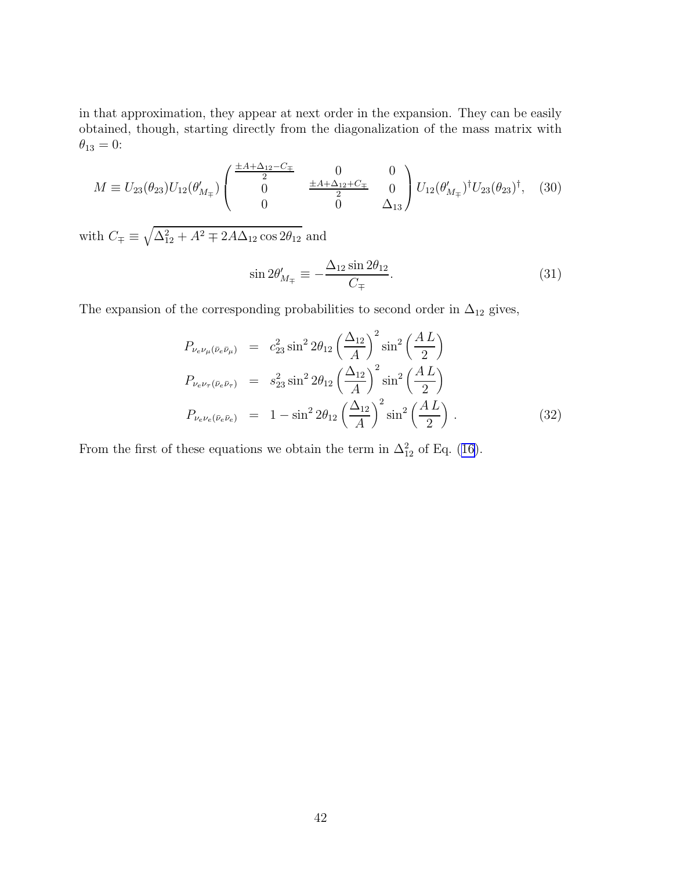in that approximation, they appear at next order in the expansion. They can be easily obtained, though, starting directly from the diagonalization of the mass matrix with  $\theta_{13}=0$  :

$$
M \equiv U_{23}(\theta_{23})U_{12}(\theta'_{M_{\mp}})\begin{pmatrix} \frac{\pm A + \Delta_{12} - C_{\mp}}{2} & 0 & 0\\ 0 & \frac{\pm A + \Delta_{12} + C_{\mp}}{2} & 0\\ 0 & 0 & \Delta_{13} \end{pmatrix} U_{12}(\theta'_{M_{\mp}})^{\dagger}U_{23}(\theta_{23})^{\dagger}, \quad (30)
$$

with  $C_{\mp} \equiv \sqrt{\Delta_{12}^2 + A^2 \mp 2A\Delta_{12}\cos 2\theta_{12}}$  and

$$
\sin 2\theta'_{M_{\mp}} \equiv -\frac{\Delta_{12} \sin 2\theta_{12}}{C_{\mp}}.\tag{31}
$$

The expansion of the corresponding probabilities to second order in  $\Delta_{12}$  gives,

$$
P_{\nu_e \nu_\mu (\bar{\nu}_e \bar{\nu}_\mu)} = c_{23}^2 \sin^2 2\theta_{12} \left(\frac{\Delta_{12}}{A}\right)^2 \sin^2 \left(\frac{AL}{2}\right)
$$
  
\n
$$
P_{\nu_e \nu_\tau (\bar{\nu}_e \bar{\nu}_\tau)} = s_{23}^2 \sin^2 2\theta_{12} \left(\frac{\Delta_{12}}{A}\right)^2 \sin^2 \left(\frac{AL}{2}\right)
$$
  
\n
$$
P_{\nu_e \nu_e (\bar{\nu}_e \bar{\nu}_e)} = 1 - \sin^2 2\theta_{12} \left(\frac{\Delta_{12}}{A}\right)^2 \sin^2 \left(\frac{AL}{2}\right).
$$
 (32)

From the first of these equations we obtain the term in  $\Delta_{12}^2$  of Eq. ([16\)](#page-9-0).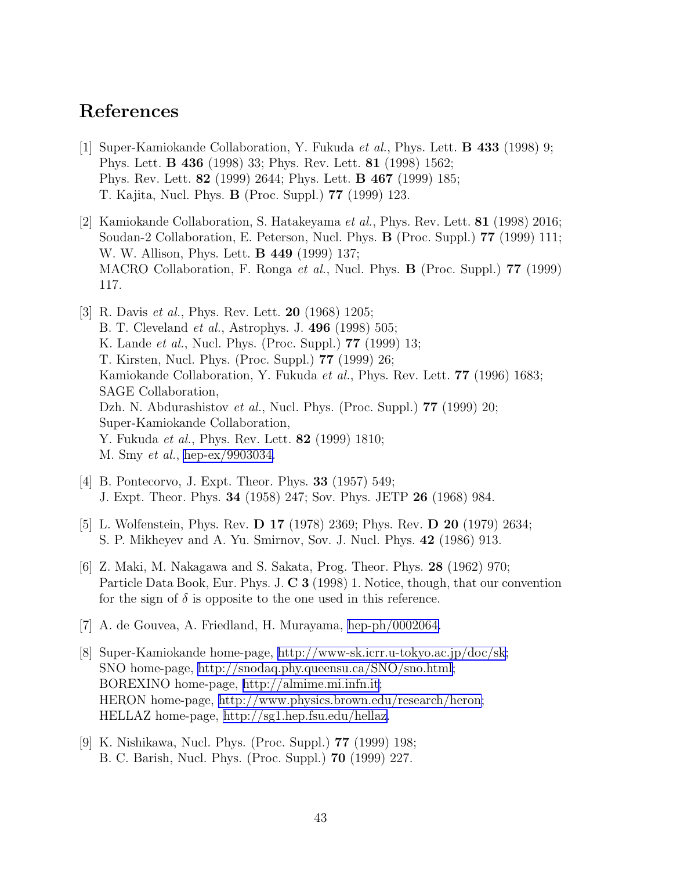## <span id="page-43-0"></span>References

- [1] Super-Kamiokande Collaboration, Y. Fukuda *et al.*, Phys. Lett. B 433 (1998) 9; Phys. Lett. B 436 (1998) 33; Phys. Rev. Lett. 81 (1998) 1562; Phys. Rev. Lett. 82 (1999) 2644; Phys. Lett. B 467 (1999) 185; T. Kajita, Nucl. Phys. B (Proc. Suppl.) 77 (1999) 123.
- [2] Kamiokande Collaboration, S. Hatakeyama *et al.*, Phys. Rev. Lett. 81 (1998) 2016; Soudan-2 Collaboration, E. Peterson, Nucl. Phys. B (Proc. Suppl.) 77 (1999) 111; W. W. Allison, Phys. Lett. B 449 (1999) 137; MACRO Collaboration, F. Ronga *et al.*, Nucl. Phys. B (Proc. Suppl.) 77 (1999) 117.
- [3] R. Davis *et al.*, Phys. Rev. Lett. 20 (1968) 1205; B. T. Cleveland *et al.*, Astrophys. J. 496 (1998) 505; K. Lande *et al.*, Nucl. Phys. (Proc. Suppl.) 77 (1999) 13; T. Kirsten, Nucl. Phys. (Proc. Suppl.) 77 (1999) 26; Kamiokande Collaboration, Y. Fukuda *et al.*, Phys. Rev. Lett. 77 (1996) 1683; SAGE Collaboration, Dzh. N. Abdurashistov *et al.*, Nucl. Phys. (Proc. Suppl.) 77 (1999) 20; Super-Kamiokande Collaboration, Y. Fukuda *et al.*, Phys. Rev. Lett. 82 (1999) 1810; M. Smy *et al.*, [hep-ex/9903034.](http://arXiv.org/abs/hep-ex/9903034)
- [4] B. Pontecorvo, J. Expt. Theor. Phys. 33 (1957) 549; J. Expt. Theor. Phys. 34 (1958) 247; Sov. Phys. JETP 26 (1968) 984.
- [5] L. Wolfenstein, Phys. Rev. D 17 (1978) 2369; Phys. Rev. D 20 (1979) 2634; S. P. Mikheyev and A. Yu. Smirnov, Sov. J. Nucl. Phys. 42 (1986) 913.
- [6] Z. Maki, M. Nakagawa and S. Sakata, Prog. Theor. Phys. 28 (1962) 970; Particle Data Book, Eur. Phys. J. C 3 (1998) 1. Notice, though, that our convention for the sign of  $\delta$  is opposite to the one used in this reference.
- [7] A. de Gouvea, A. Friedland, H. Murayama, [hep-ph/0002064.](http://arXiv.org/abs/hep-ph/0002064)
- [8] Super-Kamiokande home-page, [http://www-sk.icrr.u-tokyo.ac.jp/doc/sk;](http://www-sk.icrr.u-tokyo.ac.jp/doc/sk) SNO home-page, [http://snodaq.phy.queensu.ca/SNO/sno.html;](http://snodaq.phy.queensu.ca/SNO/sno.html) BOREXINO home-page, [http://almime.mi.infn.it;](http://almime.mi.infn.it) HERON home-page, [http://www.physics.brown.edu/research/heron;](http://www.physics.brown.edu/research/heron) HELLAZ home-page, [http://sg1.hep.fsu.edu/hellaz.](http://sg1.hep.fsu.edu/hellaz)
- [9] K. Nishikawa, Nucl. Phys. (Proc. Suppl.) 77 (1999) 198; B. C. Barish, Nucl. Phys. (Proc. Suppl.) 70 (1999) 227.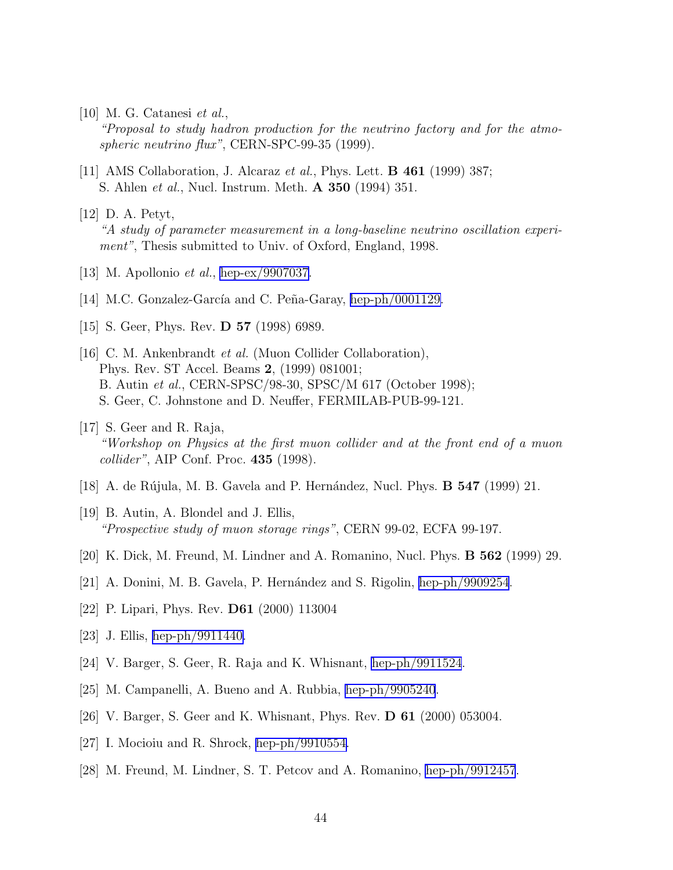<span id="page-44-0"></span>[10] M. G. Catanesi *et al.*,

*"Proposal to study hadron production for the neutrino factory and for the atmospheric neutrino flux"*, CERN-SPC-99-35 (1999).

- [11] AMS Collaboration, J. Alcaraz *et al.*, Phys. Lett. B 461 (1999) 387; S. Ahlen *et al.*, Nucl. Instrum. Meth. A 350 (1994) 351.
- [12] D. A. Petyt, *"A study of parameter measurement in a long-baseline neutrino oscillation experiment"*, Thesis submitted to Univ. of Oxford, England, 1998.
- [13] M. Apollonio *et al.*, [hep-ex/9907037.](http://arXiv.org/abs/hep-ex/9907037)
- [14] M.C. Gonzalez-García and C. Peña-Garay, [hep-ph/0001129.](http://arXiv.org/abs/hep-ph/0001129)
- [15] S. Geer, Phys. Rev. **D 57** (1998) 6989.
- [16] C. M. Ankenbrandt *et al.* (Muon Collider Collaboration), Phys. Rev. ST Accel. Beams 2, (1999) 081001; B. Autin *et al.*, CERN-SPSC/98-30, SPSC/M 617 (October 1998); S. Geer, C. Johnstone and D. Neuffer, FERMILAB-PUB-99-121.
- [17] S. Geer and R. Raja, *"Workshop on Physics at the first muon collider and at the front end of a muon collider"*, AIP Conf. Proc. 435 (1998).
- [18] A. de Rújula, M. B. Gavela and P. Hernández, Nucl. Phys. **B** 547 (1999) 21.
- [19] B. Autin, A. Blondel and J. Ellis, *"Prospective study of muon storage rings"*, CERN 99-02, ECFA 99-197.
- $[20]$  K. Dick, M. Freund, M. Lindner and A. Romanino, Nucl. Phys. **B** 562 (1999) 29.
- [21] A. Donini, M. B. Gavela, P. Hern´andez and S. Rigolin, [hep-ph/9909254](http://arXiv.org/abs/hep-ph/9909254).
- [22] P. Lipari, Phys. Rev. D61 (2000) 113004
- [23] J. Ellis, [hep-ph/9911440.](http://arXiv.org/abs/hep-ph/9911440)
- [24] V. Barger, S. Geer, R. Raja and K. Whisnant, [hep-ph/9911524](http://arXiv.org/abs/hep-ph/9911524).
- [25] M. Campanelli, A. Bueno and A. Rubbia, [hep-ph/9905240](http://arXiv.org/abs/hep-ph/9905240).
- [26] V. Barger, S. Geer and K. Whisnant, Phys. Rev. D 61 (2000) 053004.
- [27] I. Mocioiu and R. Shrock, [hep-ph/9910554.](http://arXiv.org/abs/hep-ph/9910554)
- [28] M. Freund, M. Lindner, S. T. Petcov and A. Romanino, [hep-ph/9912457](http://arXiv.org/abs/hep-ph/9912457).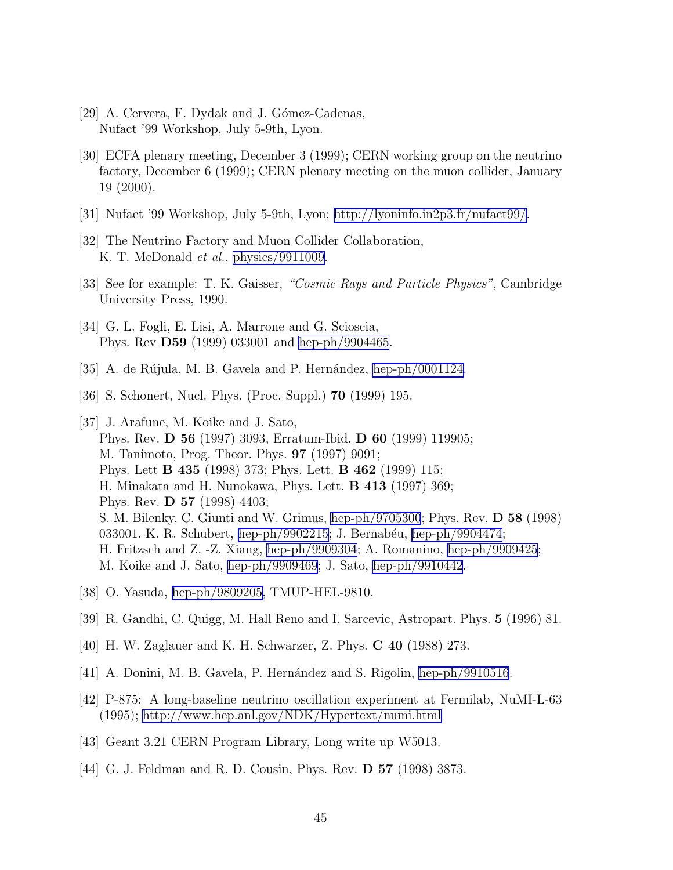- <span id="page-45-0"></span>[29] A. Cervera, F. Dydak and J. Gómez-Cadenas, Nufact '99 Workshop, July 5-9th, Lyon.
- [30] ECFA plenary meeting, December 3 (1999); CERN working group on the neutrino factory, December 6 (1999); CERN plenary meeting on the muon collider, January 19 (2000).
- [31] Nufact '99 Workshop, July 5-9th, Lyon;<http://lyoninfo.in2p3.fr/nufact99/>.
- [32] The Neutrino Factory and Muon Collider Collaboration, K. T. McDonald *et al.*, [physics/9911009](http://arXiv.org/abs/physics/9911009).
- [33] See for example: T. K. Gaisser, *"Cosmic Rays and Particle Physics"*, Cambridge University Press, 1990.
- [34] G. L. Fogli, E. Lisi, A. Marrone and G. Scioscia, Phys. Rev D59 (1999) 033001 and [hep-ph/9904465](http://arXiv.org/abs/hep-ph/9904465).
- [35] A. de Rújula, M. B. Gavela and P. Hernández, [hep-ph/0001124.](http://arXiv.org/abs/hep-ph/0001124)
- [36] S. Schonert, Nucl. Phys. (Proc. Suppl.) 70 (1999) 195.
- [37] J. Arafune, M. Koike and J. Sato, Phys. Rev. D 56 (1997) 3093, Erratum-Ibid. D 60 (1999) 119905; M. Tanimoto, Prog. Theor. Phys. 97 (1997) 9091; Phys. Lett B 435 (1998) 373; Phys. Lett. B 462 (1999) 115; H. Minakata and H. Nunokawa, Phys. Lett. B 413 (1997) 369; Phys. Rev. D 57 (1998) 4403; S. M. Bilenky, C. Giunti and W. Grimus, [hep-ph/9705300](http://arXiv.org/abs/hep-ph/9705300); Phys. Rev. D 58 (1998) 033001. K. R. Schubert, [hep-ph/9902215;](http://arXiv.org/abs/hep-ph/9902215) J. Bernabéu, [hep-ph/9904474](http://arXiv.org/abs/hep-ph/9904474); H. Fritzsch and Z. -Z. Xiang, [hep-ph/9909304;](http://arXiv.org/abs/hep-ph/9909304) A. Romanino, [hep-ph/9909425](http://arXiv.org/abs/hep-ph/9909425); M. Koike and J. Sato, [hep-ph/9909469](http://arXiv.org/abs/hep-ph/9909469); J. Sato, [hep-ph/9910442](http://arXiv.org/abs/hep-ph/9910442).
- [38] O. Yasuda, [hep-ph/9809205,](http://arXiv.org/abs/hep-ph/9809205) TMUP-HEL-9810.
- [39] R. Gandhi, C. Quigg, M. Hall Reno and I. Sarcevic, Astropart. Phys. 5 (1996) 81.
- [40] H. W. Zaglauer and K. H. Schwarzer, Z. Phys. C 40 (1988) 273.
- [41] A. Donini, M. B. Gavela, P. Hern´andez and S. Rigolin, [hep-ph/9910516](http://arXiv.org/abs/hep-ph/9910516).
- [42] P-875: A long-baseline neutrino oscillation experiment at Fermilab, NuMI-L-63 (1995);<http://www.hep.anl.gov/NDK/Hypertext/numi.html>
- [43] Geant 3.21 CERN Program Library, Long write up W5013.
- [44] G. J. Feldman and R. D. Cousin, Phys. Rev. D 57 (1998) 3873.